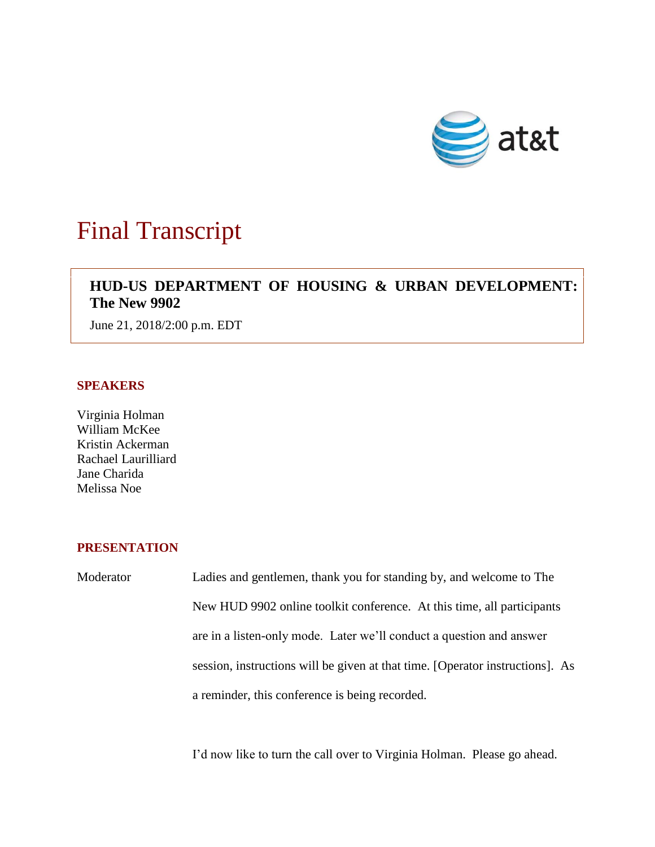

# Final Transcript

## **HUD-US DEPARTMENT OF HOUSING & URBAN DEVELOPMENT: The New 9902**

June 21, 2018/2:00 p.m. EDT

#### **SPEAKERS**

Virginia Holman William McKee Kristin Ackerman Rachael Laurilliard Jane Charida Melissa Noe

### **PRESENTATION**

Moderator Ladies and gentlemen, thank you for standing by, and welcome to The New HUD 9902 online toolkit conference. At this time, all participants are in a listen-only mode. Later we'll conduct a question and answer session, instructions will be given at that time. [Operator instructions]. As a reminder, this conference is being recorded.

I'd now like to turn the call over to Virginia Holman. Please go ahead.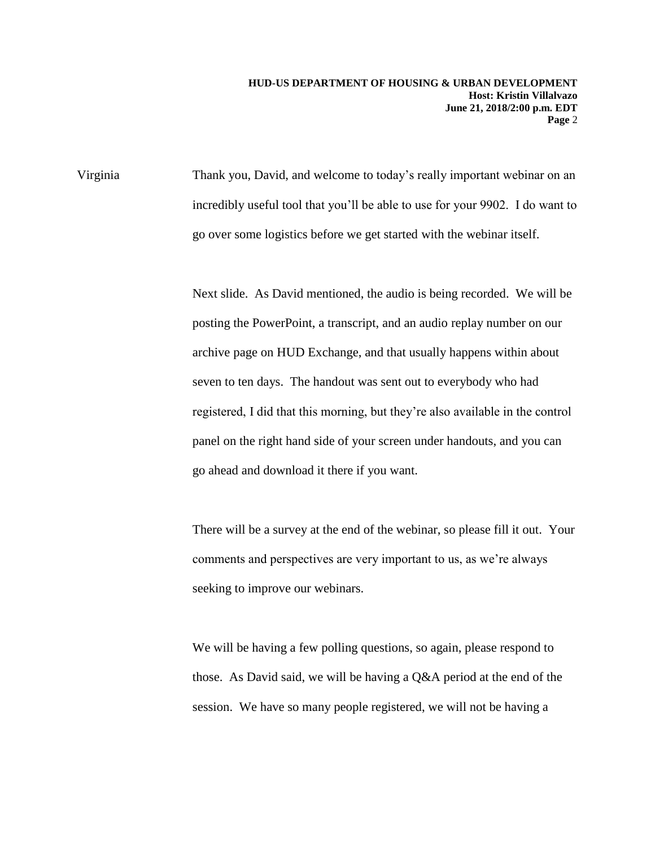Virginia Thank you, David, and welcome to today's really important webinar on an incredibly useful tool that you'll be able to use for your 9902. I do want to go over some logistics before we get started with the webinar itself.

> Next slide. As David mentioned, the audio is being recorded. We will be posting the PowerPoint, a transcript, and an audio replay number on our archive page on HUD Exchange, and that usually happens within about seven to ten days. The handout was sent out to everybody who had registered, I did that this morning, but they're also available in the control panel on the right hand side of your screen under handouts, and you can go ahead and download it there if you want.

> There will be a survey at the end of the webinar, so please fill it out. Your comments and perspectives are very important to us, as we're always seeking to improve our webinars.

We will be having a few polling questions, so again, please respond to those. As David said, we will be having a Q&A period at the end of the session. We have so many people registered, we will not be having a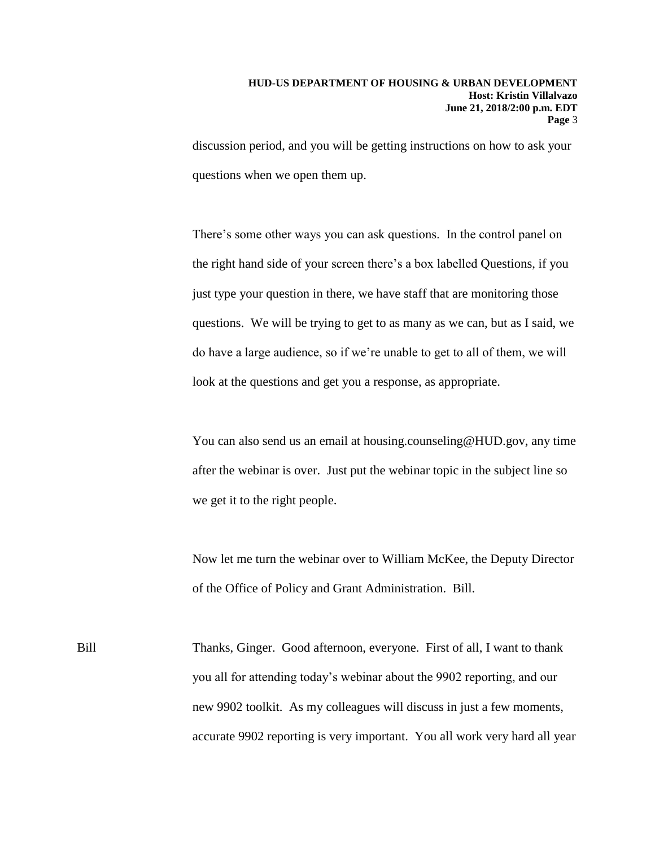discussion period, and you will be getting instructions on how to ask your questions when we open them up.

There's some other ways you can ask questions. In the control panel on the right hand side of your screen there's a box labelled Questions, if you just type your question in there, we have staff that are monitoring those questions. We will be trying to get to as many as we can, but as I said, we do have a large audience, so if we're unable to get to all of them, we will look at the questions and get you a response, as appropriate.

You can also send us an email at housing.counseling@HUD.gov, any time after the webinar is over. Just put the webinar topic in the subject line so we get it to the right people.

Now let me turn the webinar over to William McKee, the Deputy Director of the Office of Policy and Grant Administration. Bill.

Bill Thanks, Ginger. Good afternoon, everyone. First of all, I want to thank you all for attending today's webinar about the 9902 reporting, and our new 9902 toolkit. As my colleagues will discuss in just a few moments, accurate 9902 reporting is very important. You all work very hard all year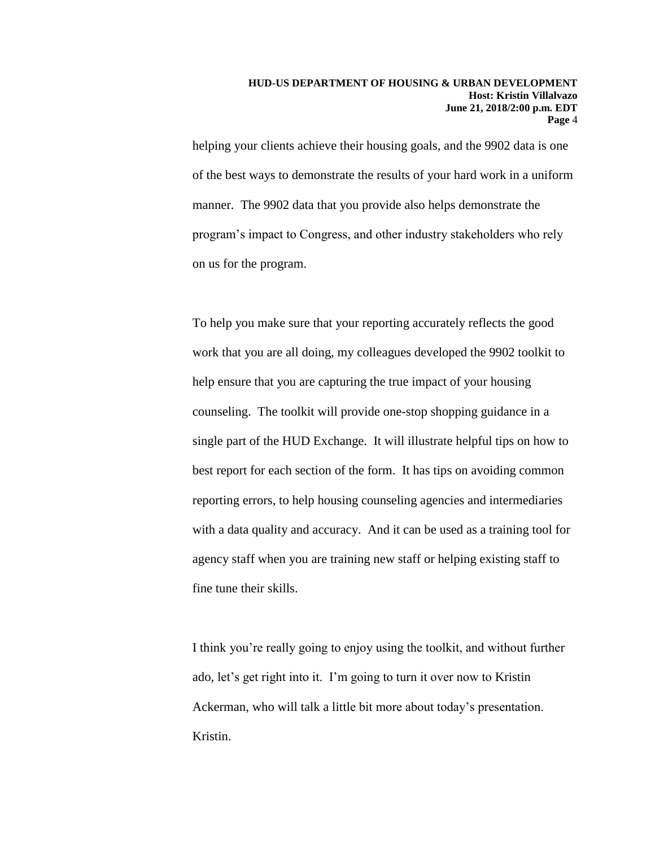helping your clients achieve their housing goals, and the 9902 data is one of the best ways to demonstrate the results of your hard work in a uniform manner. The 9902 data that you provide also helps demonstrate the program's impact to Congress, and other industry stakeholders who rely on us for the program.

To help you make sure that your reporting accurately reflects the good work that you are all doing, my colleagues developed the 9902 toolkit to help ensure that you are capturing the true impact of your housing counseling. The toolkit will provide one-stop shopping guidance in a single part of the HUD Exchange. It will illustrate helpful tips on how to best report for each section of the form. It has tips on avoiding common reporting errors, to help housing counseling agencies and intermediaries with a data quality and accuracy. And it can be used as a training tool for agency staff when you are training new staff or helping existing staff to fine tune their skills.

I think you're really going to enjoy using the toolkit, and without further ado, let's get right into it. I'm going to turn it over now to Kristin Ackerman, who will talk a little bit more about today's presentation. Kristin.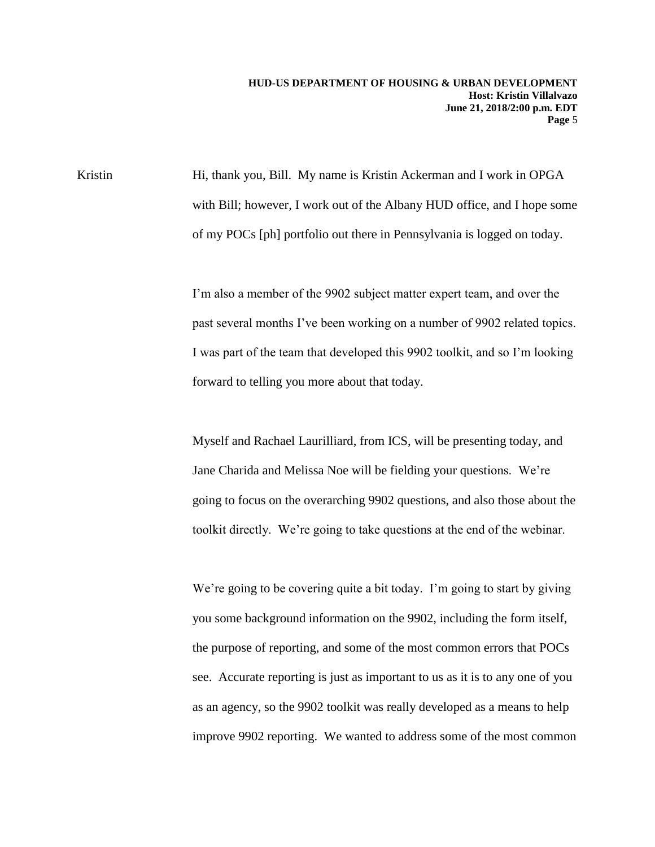Kristin Hi, thank you, Bill. My name is Kristin Ackerman and I work in OPGA with Bill; however, I work out of the Albany HUD office, and I hope some of my POCs [ph] portfolio out there in Pennsylvania is logged on today.

> I'm also a member of the 9902 subject matter expert team, and over the past several months I've been working on a number of 9902 related topics. I was part of the team that developed this 9902 toolkit, and so I'm looking forward to telling you more about that today.

> Myself and Rachael Laurilliard, from ICS, will be presenting today, and Jane Charida and Melissa Noe will be fielding your questions. We're going to focus on the overarching 9902 questions, and also those about the toolkit directly. We're going to take questions at the end of the webinar.

> We're going to be covering quite a bit today. I'm going to start by giving you some background information on the 9902, including the form itself, the purpose of reporting, and some of the most common errors that POCs see. Accurate reporting is just as important to us as it is to any one of you as an agency, so the 9902 toolkit was really developed as a means to help improve 9902 reporting. We wanted to address some of the most common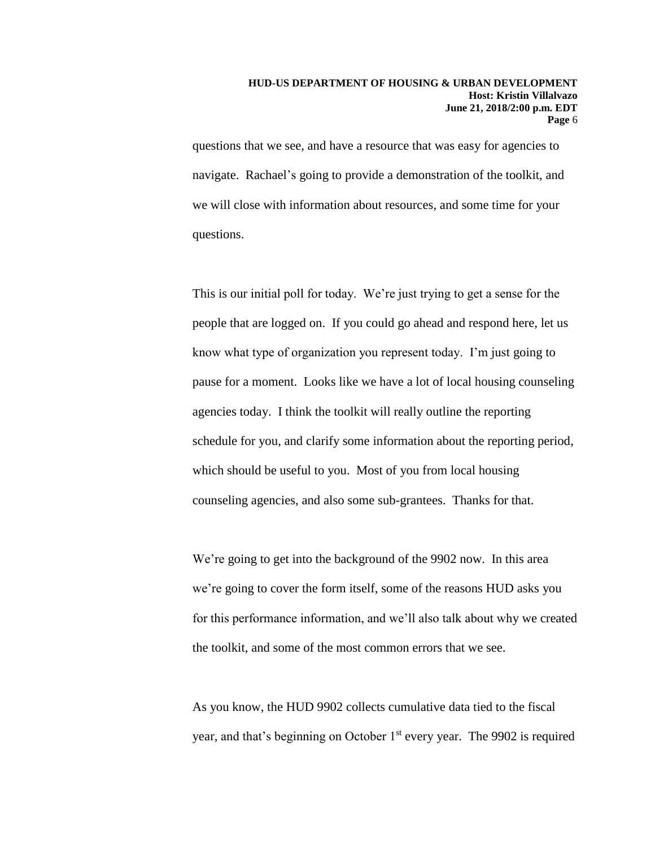questions that we see, and have a resource that was easy for agencies to navigate. Rachael's going to provide a demonstration of the toolkit, and we will close with information about resources, and some time for your questions.

This is our initial poll for today. We're just trying to get a sense for the people that are logged on. If you could go ahead and respond here, let us know what type of organization you represent today. I'm just going to pause for a moment. Looks like we have a lot of local housing counseling agencies today. I think the toolkit will really outline the reporting schedule for you, and clarify some information about the reporting period, which should be useful to you. Most of you from local housing counseling agencies, and also some sub-grantees. Thanks for that.

We're going to get into the background of the 9902 now. In this area we're going to cover the form itself, some of the reasons HUD asks you for this performance information, and we'll also talk about why we created the toolkit, and some of the most common errors that we see.

As you know, the HUD 9902 collects cumulative data tied to the fiscal year, and that's beginning on October 1<sup>st</sup> every year. The 9902 is required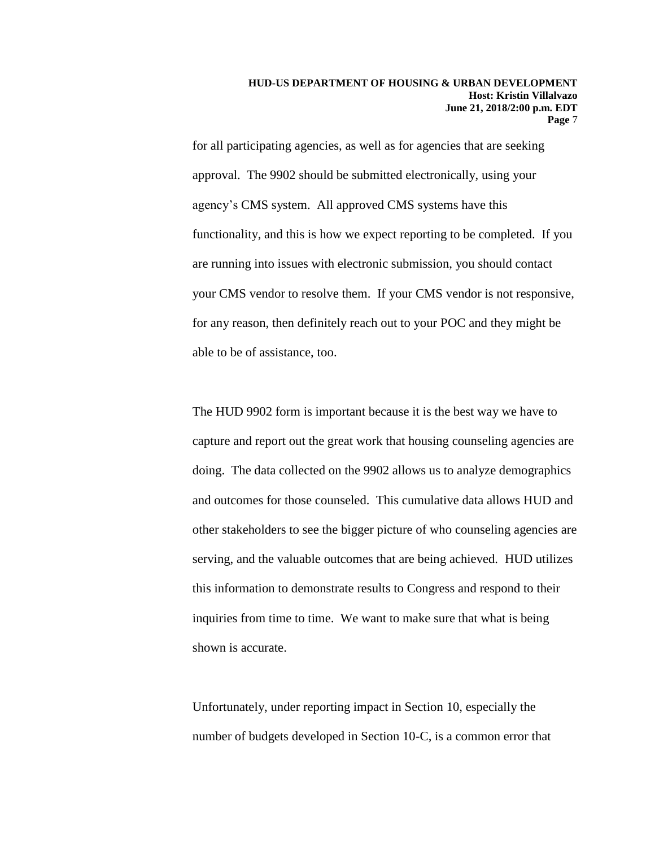for all participating agencies, as well as for agencies that are seeking approval. The 9902 should be submitted electronically, using your agency's CMS system. All approved CMS systems have this functionality, and this is how we expect reporting to be completed. If you are running into issues with electronic submission, you should contact your CMS vendor to resolve them. If your CMS vendor is not responsive, for any reason, then definitely reach out to your POC and they might be able to be of assistance, too.

The HUD 9902 form is important because it is the best way we have to capture and report out the great work that housing counseling agencies are doing. The data collected on the 9902 allows us to analyze demographics and outcomes for those counseled. This cumulative data allows HUD and other stakeholders to see the bigger picture of who counseling agencies are serving, and the valuable outcomes that are being achieved. HUD utilizes this information to demonstrate results to Congress and respond to their inquiries from time to time. We want to make sure that what is being shown is accurate.

Unfortunately, under reporting impact in Section 10, especially the number of budgets developed in Section 10-C, is a common error that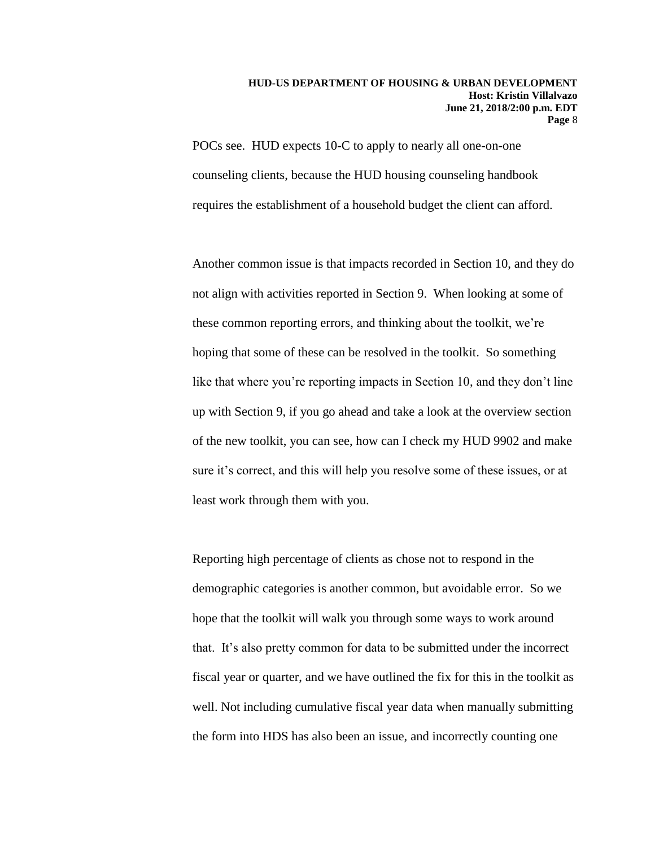POCs see. HUD expects 10-C to apply to nearly all one-on-one counseling clients, because the HUD housing counseling handbook requires the establishment of a household budget the client can afford.

Another common issue is that impacts recorded in Section 10, and they do not align with activities reported in Section 9. When looking at some of these common reporting errors, and thinking about the toolkit, we're hoping that some of these can be resolved in the toolkit. So something like that where you're reporting impacts in Section 10, and they don't line up with Section 9, if you go ahead and take a look at the overview section of the new toolkit, you can see, how can I check my HUD 9902 and make sure it's correct, and this will help you resolve some of these issues, or at least work through them with you.

Reporting high percentage of clients as chose not to respond in the demographic categories is another common, but avoidable error. So we hope that the toolkit will walk you through some ways to work around that. It's also pretty common for data to be submitted under the incorrect fiscal year or quarter, and we have outlined the fix for this in the toolkit as well. Not including cumulative fiscal year data when manually submitting the form into HDS has also been an issue, and incorrectly counting one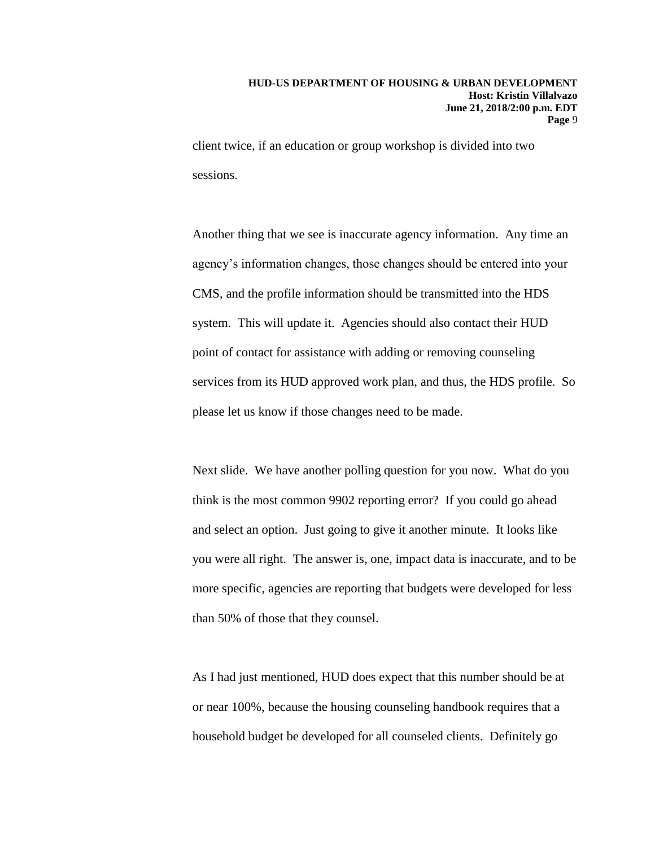client twice, if an education or group workshop is divided into two sessions.

Another thing that we see is inaccurate agency information. Any time an agency's information changes, those changes should be entered into your CMS, and the profile information should be transmitted into the HDS system. This will update it. Agencies should also contact their HUD point of contact for assistance with adding or removing counseling services from its HUD approved work plan, and thus, the HDS profile. So please let us know if those changes need to be made.

Next slide. We have another polling question for you now. What do you think is the most common 9902 reporting error? If you could go ahead and select an option. Just going to give it another minute. It looks like you were all right. The answer is, one, impact data is inaccurate, and to be more specific, agencies are reporting that budgets were developed for less than 50% of those that they counsel.

As I had just mentioned, HUD does expect that this number should be at or near 100%, because the housing counseling handbook requires that a household budget be developed for all counseled clients. Definitely go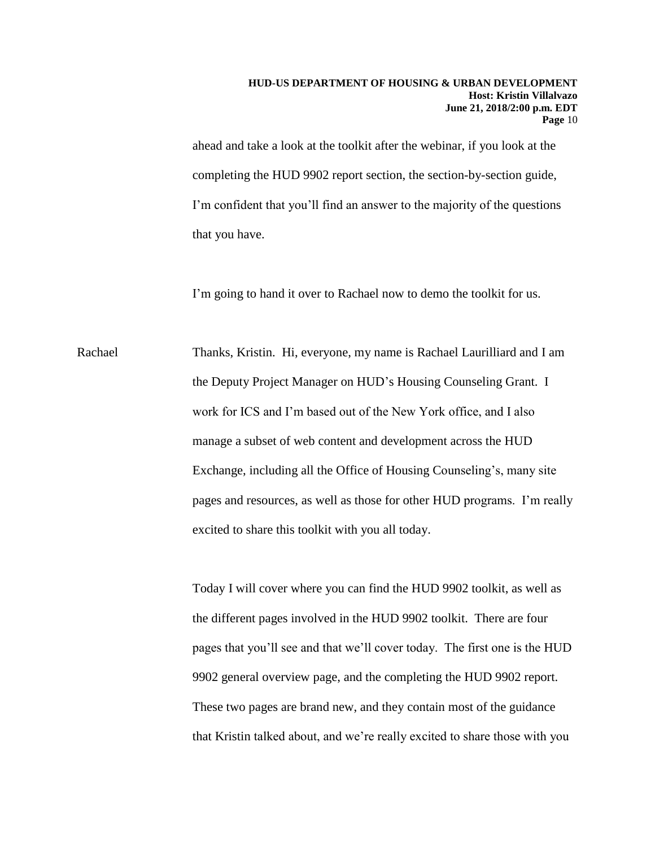ahead and take a look at the toolkit after the webinar, if you look at the completing the HUD 9902 report section, the section-by-section guide, I'm confident that you'll find an answer to the majority of the questions that you have.

I'm going to hand it over to Rachael now to demo the toolkit for us.

Rachael Thanks, Kristin. Hi, everyone, my name is Rachael Laurilliard and I am the Deputy Project Manager on HUD's Housing Counseling Grant. I work for ICS and I'm based out of the New York office, and I also manage a subset of web content and development across the HUD Exchange, including all the Office of Housing Counseling's, many site pages and resources, as well as those for other HUD programs. I'm really excited to share this toolkit with you all today.

> Today I will cover where you can find the HUD 9902 toolkit, as well as the different pages involved in the HUD 9902 toolkit. There are four pages that you'll see and that we'll cover today. The first one is the HUD 9902 general overview page, and the completing the HUD 9902 report. These two pages are brand new, and they contain most of the guidance that Kristin talked about, and we're really excited to share those with you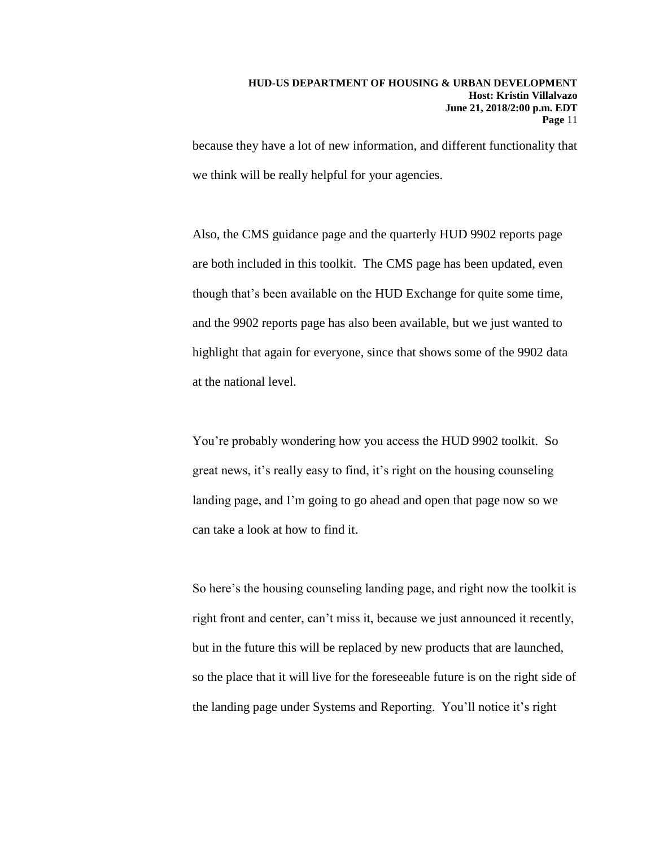because they have a lot of new information, and different functionality that we think will be really helpful for your agencies.

Also, the CMS guidance page and the quarterly HUD 9902 reports page are both included in this toolkit. The CMS page has been updated, even though that's been available on the HUD Exchange for quite some time, and the 9902 reports page has also been available, but we just wanted to highlight that again for everyone, since that shows some of the 9902 data at the national level.

You're probably wondering how you access the HUD 9902 toolkit. So great news, it's really easy to find, it's right on the housing counseling landing page, and I'm going to go ahead and open that page now so we can take a look at how to find it.

So here's the housing counseling landing page, and right now the toolkit is right front and center, can't miss it, because we just announced it recently, but in the future this will be replaced by new products that are launched, so the place that it will live for the foreseeable future is on the right side of the landing page under Systems and Reporting. You'll notice it's right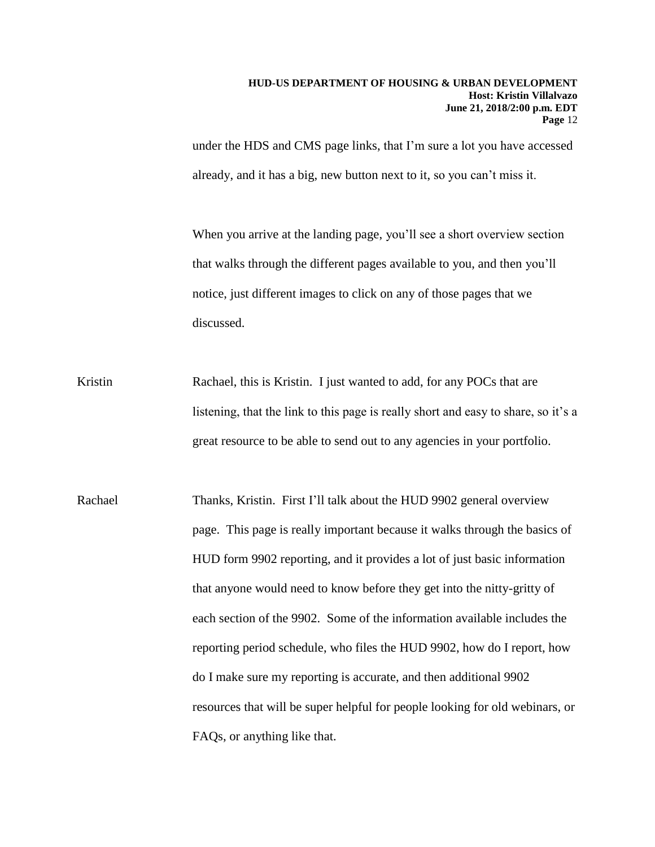under the HDS and CMS page links, that I'm sure a lot you have accessed already, and it has a big, new button next to it, so you can't miss it.

When you arrive at the landing page, you'll see a short overview section that walks through the different pages available to you, and then you'll notice, just different images to click on any of those pages that we discussed.

- Kristin Rachael, this is Kristin. I just wanted to add, for any POCs that are listening, that the link to this page is really short and easy to share, so it's a great resource to be able to send out to any agencies in your portfolio.
- Rachael Thanks, Kristin. First I'll talk about the HUD 9902 general overview page. This page is really important because it walks through the basics of HUD form 9902 reporting, and it provides a lot of just basic information that anyone would need to know before they get into the nitty-gritty of each section of the 9902. Some of the information available includes the reporting period schedule, who files the HUD 9902, how do I report, how do I make sure my reporting is accurate, and then additional 9902 resources that will be super helpful for people looking for old webinars, or FAQs, or anything like that.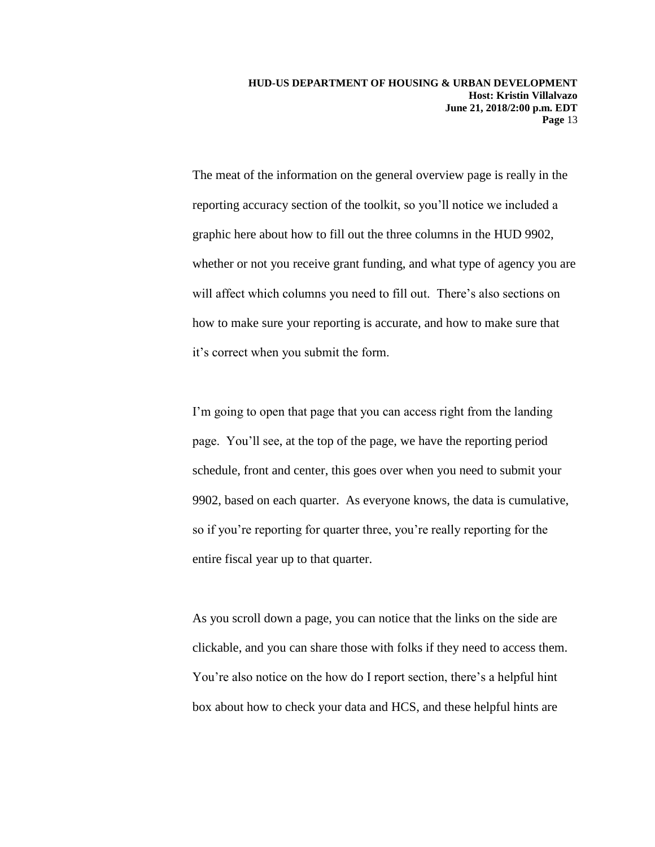The meat of the information on the general overview page is really in the reporting accuracy section of the toolkit, so you'll notice we included a graphic here about how to fill out the three columns in the HUD 9902, whether or not you receive grant funding, and what type of agency you are will affect which columns you need to fill out. There's also sections on how to make sure your reporting is accurate, and how to make sure that it's correct when you submit the form.

I'm going to open that page that you can access right from the landing page. You'll see, at the top of the page, we have the reporting period schedule, front and center, this goes over when you need to submit your 9902, based on each quarter. As everyone knows, the data is cumulative, so if you're reporting for quarter three, you're really reporting for the entire fiscal year up to that quarter.

As you scroll down a page, you can notice that the links on the side are clickable, and you can share those with folks if they need to access them. You're also notice on the how do I report section, there's a helpful hint box about how to check your data and HCS, and these helpful hints are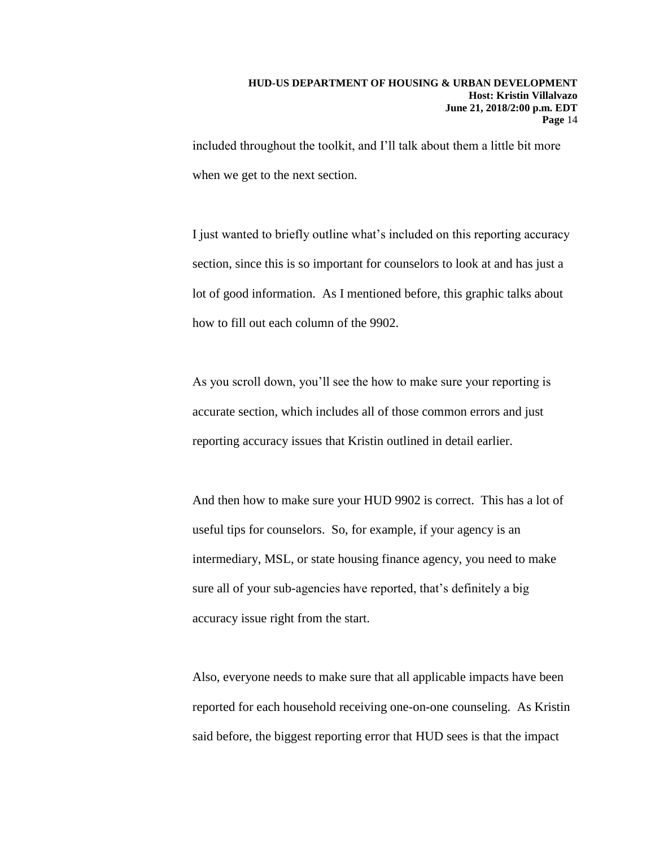included throughout the toolkit, and I'll talk about them a little bit more when we get to the next section.

I just wanted to briefly outline what's included on this reporting accuracy section, since this is so important for counselors to look at and has just a lot of good information. As I mentioned before, this graphic talks about how to fill out each column of the 9902.

As you scroll down, you'll see the how to make sure your reporting is accurate section, which includes all of those common errors and just reporting accuracy issues that Kristin outlined in detail earlier.

And then how to make sure your HUD 9902 is correct. This has a lot of useful tips for counselors. So, for example, if your agency is an intermediary, MSL, or state housing finance agency, you need to make sure all of your sub-agencies have reported, that's definitely a big accuracy issue right from the start.

Also, everyone needs to make sure that all applicable impacts have been reported for each household receiving one-on-one counseling. As Kristin said before, the biggest reporting error that HUD sees is that the impact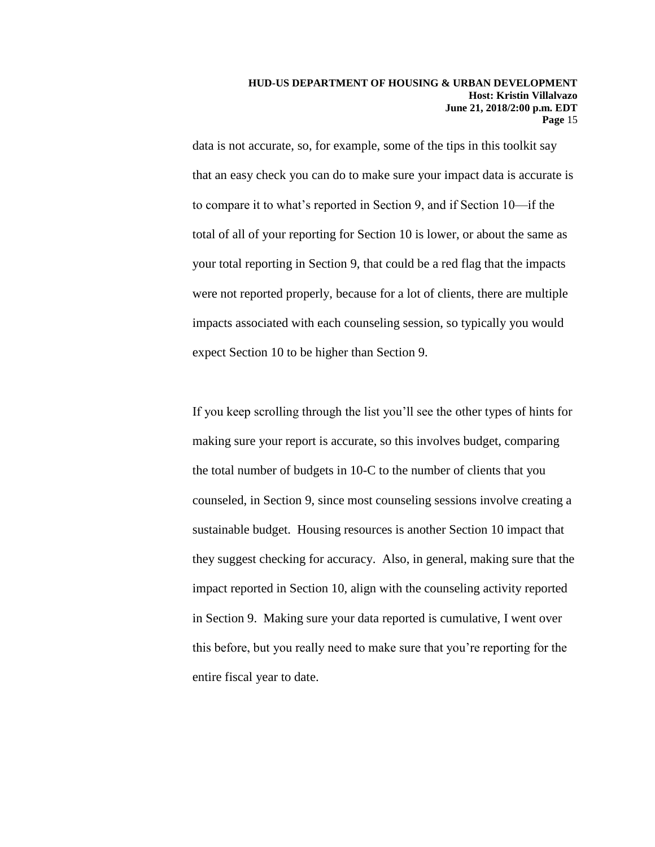data is not accurate, so, for example, some of the tips in this toolkit say that an easy check you can do to make sure your impact data is accurate is to compare it to what's reported in Section 9, and if Section 10—if the total of all of your reporting for Section 10 is lower, or about the same as your total reporting in Section 9, that could be a red flag that the impacts were not reported properly, because for a lot of clients, there are multiple impacts associated with each counseling session, so typically you would expect Section 10 to be higher than Section 9.

If you keep scrolling through the list you'll see the other types of hints for making sure your report is accurate, so this involves budget, comparing the total number of budgets in 10-C to the number of clients that you counseled, in Section 9, since most counseling sessions involve creating a sustainable budget. Housing resources is another Section 10 impact that they suggest checking for accuracy. Also, in general, making sure that the impact reported in Section 10, align with the counseling activity reported in Section 9. Making sure your data reported is cumulative, I went over this before, but you really need to make sure that you're reporting for the entire fiscal year to date.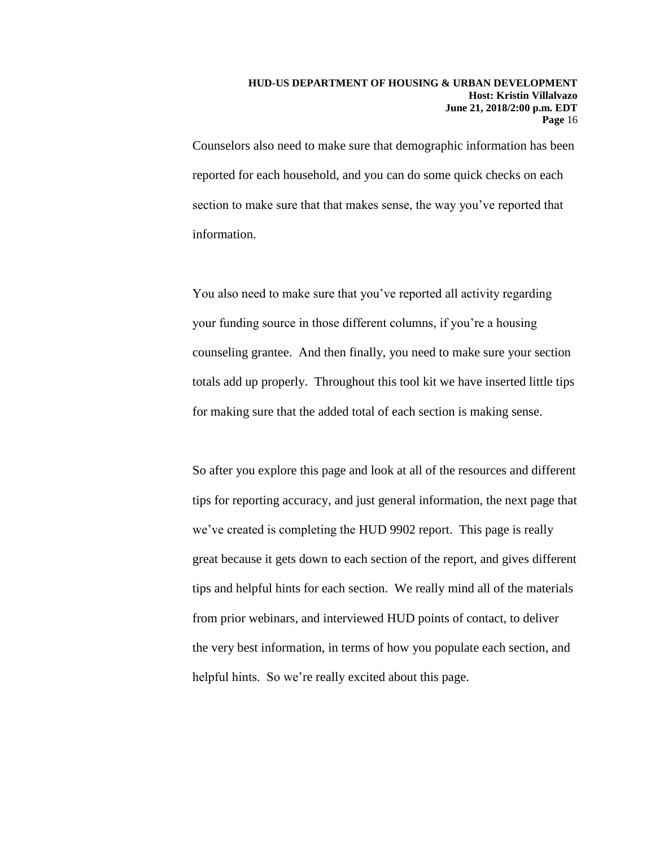Counselors also need to make sure that demographic information has been reported for each household, and you can do some quick checks on each section to make sure that that makes sense, the way you've reported that information.

You also need to make sure that you've reported all activity regarding your funding source in those different columns, if you're a housing counseling grantee. And then finally, you need to make sure your section totals add up properly. Throughout this tool kit we have inserted little tips for making sure that the added total of each section is making sense.

So after you explore this page and look at all of the resources and different tips for reporting accuracy, and just general information, the next page that we've created is completing the HUD 9902 report. This page is really great because it gets down to each section of the report, and gives different tips and helpful hints for each section. We really mind all of the materials from prior webinars, and interviewed HUD points of contact, to deliver the very best information, in terms of how you populate each section, and helpful hints. So we're really excited about this page.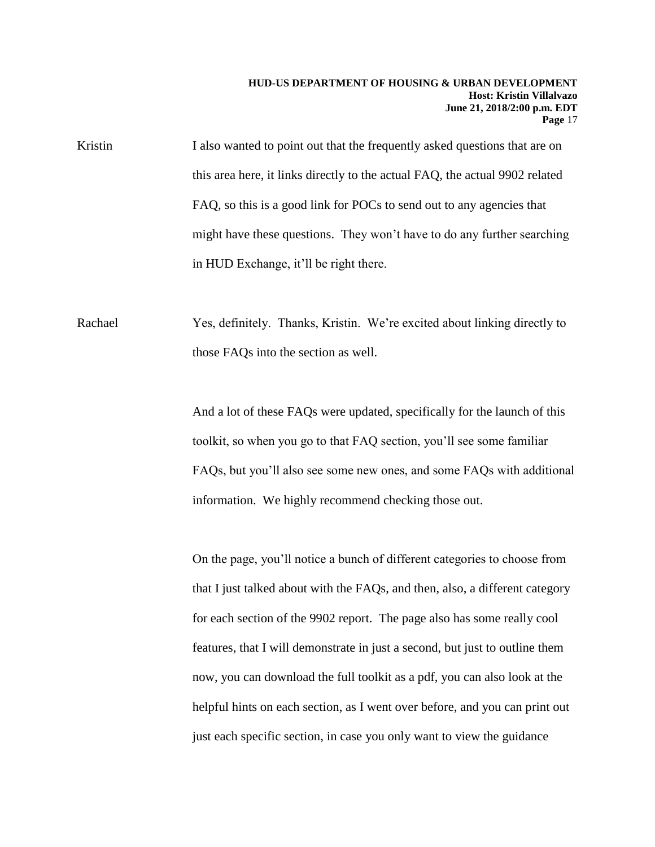Kristin I also wanted to point out that the frequently asked questions that are on this area here, it links directly to the actual FAQ, the actual 9902 related FAQ, so this is a good link for POCs to send out to any agencies that might have these questions. They won't have to do any further searching in HUD Exchange, it'll be right there.

Rachael Yes, definitely. Thanks, Kristin. We're excited about linking directly to those FAQs into the section as well.

> And a lot of these FAQs were updated, specifically for the launch of this toolkit, so when you go to that FAQ section, you'll see some familiar FAQs, but you'll also see some new ones, and some FAQs with additional information. We highly recommend checking those out.

On the page, you'll notice a bunch of different categories to choose from that I just talked about with the FAQs, and then, also, a different category for each section of the 9902 report. The page also has some really cool features, that I will demonstrate in just a second, but just to outline them now, you can download the full toolkit as a pdf, you can also look at the helpful hints on each section, as I went over before, and you can print out just each specific section, in case you only want to view the guidance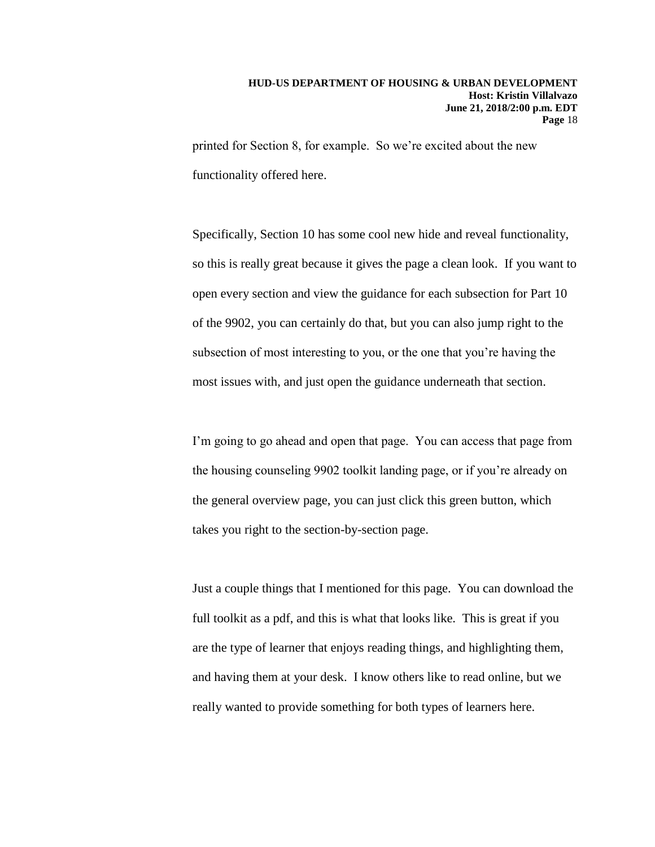printed for Section 8, for example. So we're excited about the new functionality offered here.

Specifically, Section 10 has some cool new hide and reveal functionality, so this is really great because it gives the page a clean look. If you want to open every section and view the guidance for each subsection for Part 10 of the 9902, you can certainly do that, but you can also jump right to the subsection of most interesting to you, or the one that you're having the most issues with, and just open the guidance underneath that section.

I'm going to go ahead and open that page. You can access that page from the housing counseling 9902 toolkit landing page, or if you're already on the general overview page, you can just click this green button, which takes you right to the section-by-section page.

Just a couple things that I mentioned for this page. You can download the full toolkit as a pdf, and this is what that looks like. This is great if you are the type of learner that enjoys reading things, and highlighting them, and having them at your desk. I know others like to read online, but we really wanted to provide something for both types of learners here.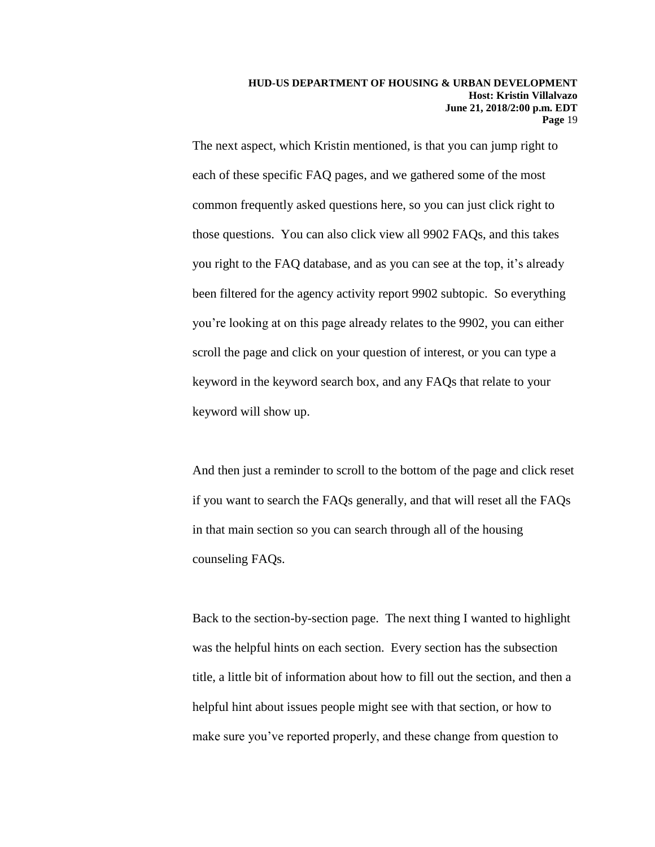The next aspect, which Kristin mentioned, is that you can jump right to each of these specific FAQ pages, and we gathered some of the most common frequently asked questions here, so you can just click right to those questions. You can also click view all 9902 FAQs, and this takes you right to the FAQ database, and as you can see at the top, it's already been filtered for the agency activity report 9902 subtopic. So everything you're looking at on this page already relates to the 9902, you can either scroll the page and click on your question of interest, or you can type a keyword in the keyword search box, and any FAQs that relate to your keyword will show up.

And then just a reminder to scroll to the bottom of the page and click reset if you want to search the FAQs generally, and that will reset all the FAQs in that main section so you can search through all of the housing counseling FAQs.

Back to the section-by-section page. The next thing I wanted to highlight was the helpful hints on each section. Every section has the subsection title, a little bit of information about how to fill out the section, and then a helpful hint about issues people might see with that section, or how to make sure you've reported properly, and these change from question to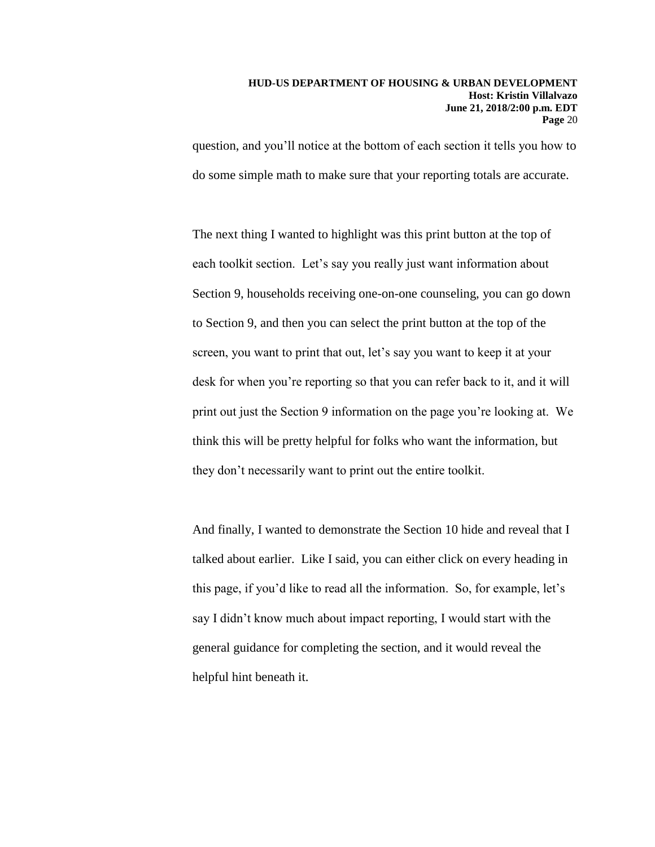question, and you'll notice at the bottom of each section it tells you how to do some simple math to make sure that your reporting totals are accurate.

The next thing I wanted to highlight was this print button at the top of each toolkit section. Let's say you really just want information about Section 9, households receiving one-on-one counseling, you can go down to Section 9, and then you can select the print button at the top of the screen, you want to print that out, let's say you want to keep it at your desk for when you're reporting so that you can refer back to it, and it will print out just the Section 9 information on the page you're looking at. We think this will be pretty helpful for folks who want the information, but they don't necessarily want to print out the entire toolkit.

And finally, I wanted to demonstrate the Section 10 hide and reveal that I talked about earlier. Like I said, you can either click on every heading in this page, if you'd like to read all the information. So, for example, let's say I didn't know much about impact reporting, I would start with the general guidance for completing the section, and it would reveal the helpful hint beneath it.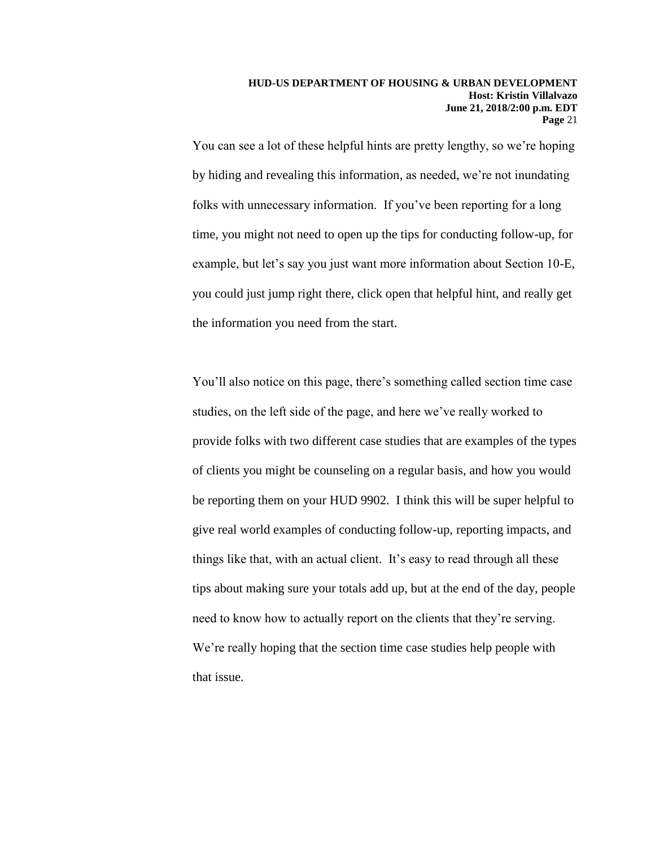You can see a lot of these helpful hints are pretty lengthy, so we're hoping by hiding and revealing this information, as needed, we're not inundating folks with unnecessary information. If you've been reporting for a long time, you might not need to open up the tips for conducting follow-up, for example, but let's say you just want more information about Section 10-E, you could just jump right there, click open that helpful hint, and really get the information you need from the start.

You'll also notice on this page, there's something called section time case studies, on the left side of the page, and here we've really worked to provide folks with two different case studies that are examples of the types of clients you might be counseling on a regular basis, and how you would be reporting them on your HUD 9902. I think this will be super helpful to give real world examples of conducting follow-up, reporting impacts, and things like that, with an actual client. It's easy to read through all these tips about making sure your totals add up, but at the end of the day, people need to know how to actually report on the clients that they're serving. We're really hoping that the section time case studies help people with that issue.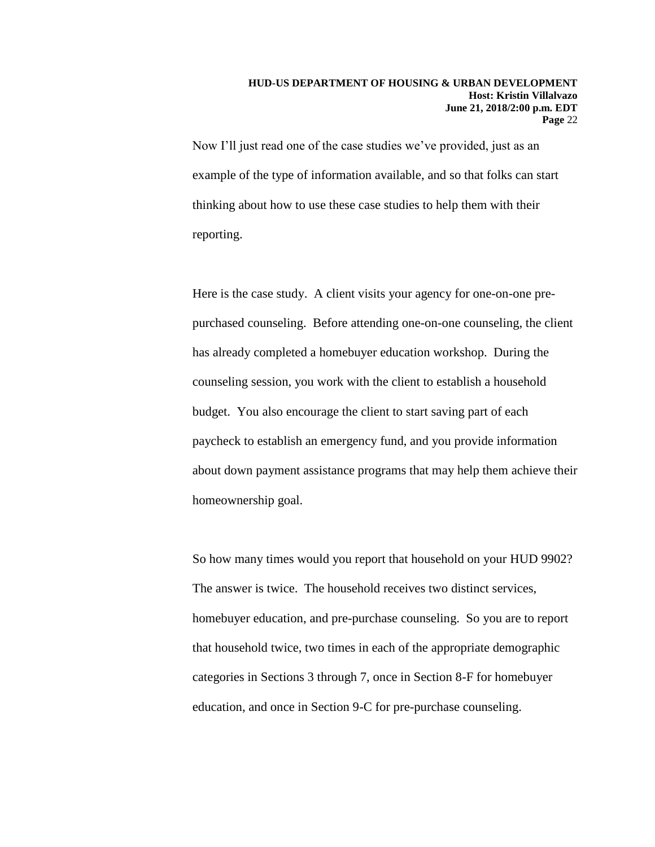Now I'll just read one of the case studies we've provided, just as an example of the type of information available, and so that folks can start thinking about how to use these case studies to help them with their reporting.

Here is the case study. A client visits your agency for one-on-one prepurchased counseling. Before attending one-on-one counseling, the client has already completed a homebuyer education workshop. During the counseling session, you work with the client to establish a household budget. You also encourage the client to start saving part of each paycheck to establish an emergency fund, and you provide information about down payment assistance programs that may help them achieve their homeownership goal.

So how many times would you report that household on your HUD 9902? The answer is twice. The household receives two distinct services, homebuyer education, and pre-purchase counseling. So you are to report that household twice, two times in each of the appropriate demographic categories in Sections 3 through 7, once in Section 8-F for homebuyer education, and once in Section 9-C for pre-purchase counseling.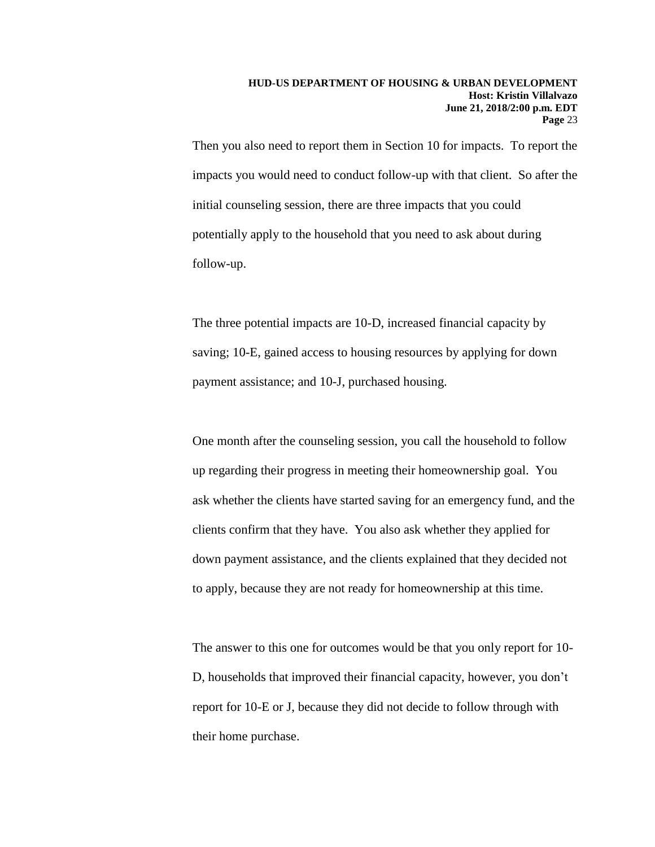Then you also need to report them in Section 10 for impacts. To report the impacts you would need to conduct follow-up with that client. So after the initial counseling session, there are three impacts that you could potentially apply to the household that you need to ask about during follow-up.

The three potential impacts are 10-D, increased financial capacity by saving; 10-E, gained access to housing resources by applying for down payment assistance; and 10-J, purchased housing.

One month after the counseling session, you call the household to follow up regarding their progress in meeting their homeownership goal. You ask whether the clients have started saving for an emergency fund, and the clients confirm that they have. You also ask whether they applied for down payment assistance, and the clients explained that they decided not to apply, because they are not ready for homeownership at this time.

The answer to this one for outcomes would be that you only report for 10- D, households that improved their financial capacity, however, you don't report for 10-E or J, because they did not decide to follow through with their home purchase.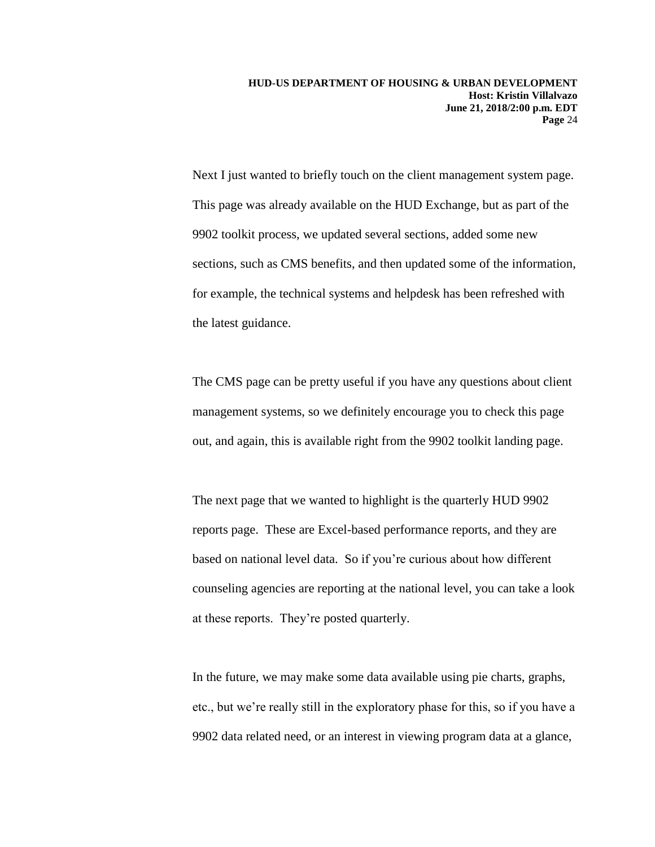Next I just wanted to briefly touch on the client management system page. This page was already available on the HUD Exchange, but as part of the 9902 toolkit process, we updated several sections, added some new sections, such as CMS benefits, and then updated some of the information, for example, the technical systems and helpdesk has been refreshed with the latest guidance.

The CMS page can be pretty useful if you have any questions about client management systems, so we definitely encourage you to check this page out, and again, this is available right from the 9902 toolkit landing page.

The next page that we wanted to highlight is the quarterly HUD 9902 reports page. These are Excel-based performance reports, and they are based on national level data. So if you're curious about how different counseling agencies are reporting at the national level, you can take a look at these reports. They're posted quarterly.

In the future, we may make some data available using pie charts, graphs, etc., but we're really still in the exploratory phase for this, so if you have a 9902 data related need, or an interest in viewing program data at a glance,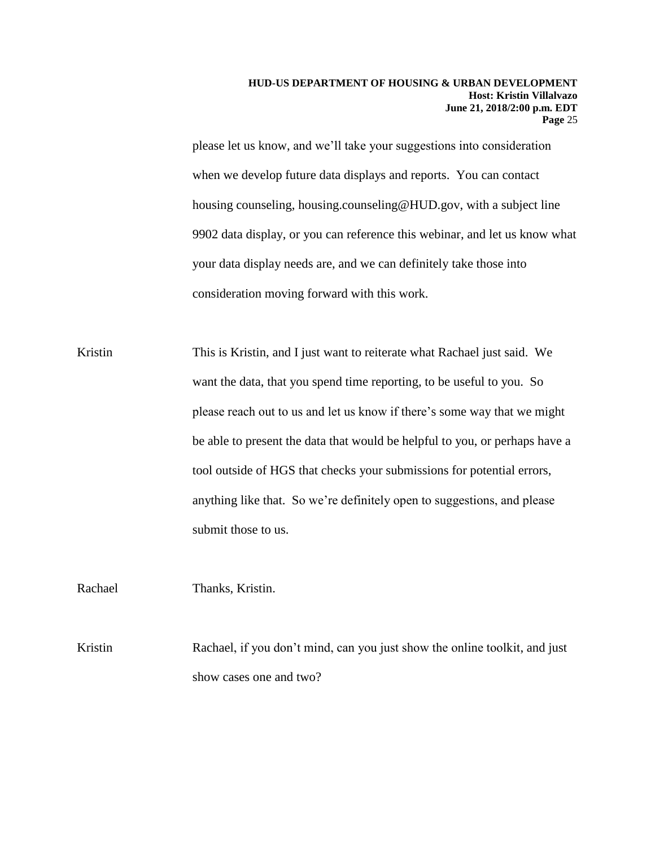please let us know, and we'll take your suggestions into consideration when we develop future data displays and reports. You can contact housing counseling, housing.counseling@HUD.gov, with a subject line 9902 data display, or you can reference this webinar, and let us know what your data display needs are, and we can definitely take those into consideration moving forward with this work.

Kristin This is Kristin, and I just want to reiterate what Rachael just said. We want the data, that you spend time reporting, to be useful to you. So please reach out to us and let us know if there's some way that we might be able to present the data that would be helpful to you, or perhaps have a tool outside of HGS that checks your submissions for potential errors, anything like that. So we're definitely open to suggestions, and please submit those to us.

Rachael Thanks, Kristin.

Kristin Rachael, if you don't mind, can you just show the online toolkit, and just show cases one and two?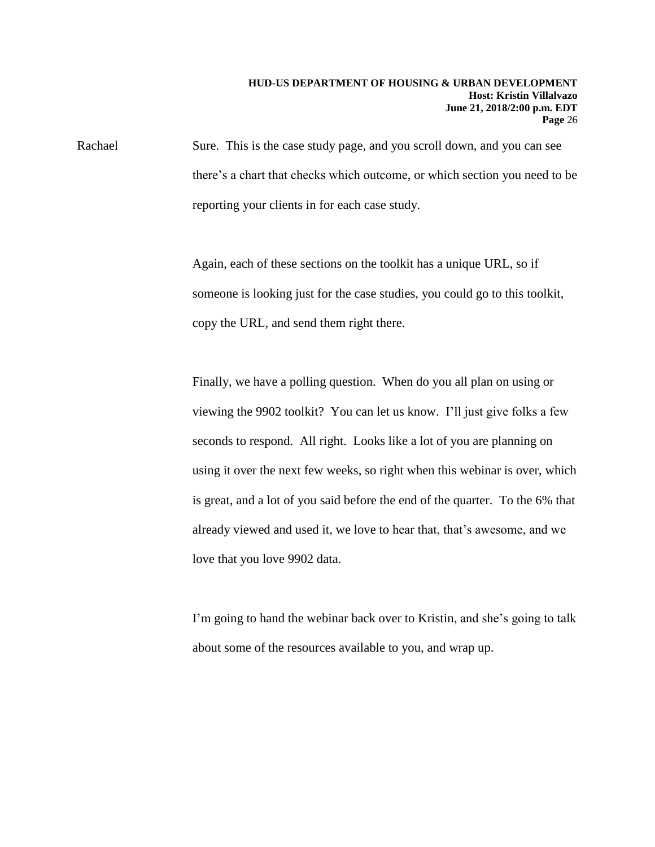Rachael Sure. This is the case study page, and you scroll down, and you can see there's a chart that checks which outcome, or which section you need to be reporting your clients in for each case study.

> Again, each of these sections on the toolkit has a unique URL, so if someone is looking just for the case studies, you could go to this toolkit, copy the URL, and send them right there.

Finally, we have a polling question. When do you all plan on using or viewing the 9902 toolkit? You can let us know. I'll just give folks a few seconds to respond. All right. Looks like a lot of you are planning on using it over the next few weeks, so right when this webinar is over, which is great, and a lot of you said before the end of the quarter. To the 6% that already viewed and used it, we love to hear that, that's awesome, and we love that you love 9902 data.

I'm going to hand the webinar back over to Kristin, and she's going to talk about some of the resources available to you, and wrap up.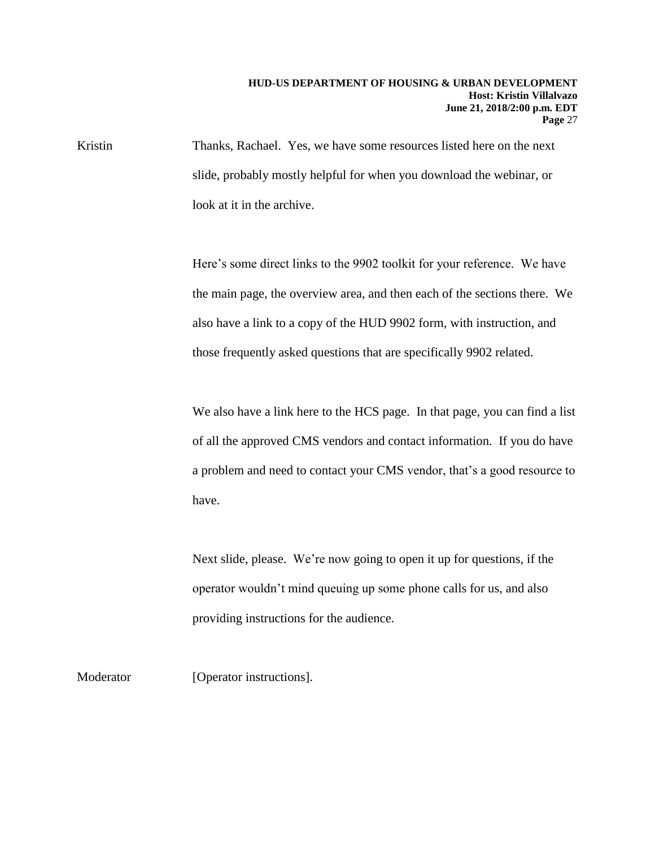Kristin Thanks, Rachael. Yes, we have some resources listed here on the next slide, probably mostly helpful for when you download the webinar, or look at it in the archive.

> Here's some direct links to the 9902 toolkit for your reference. We have the main page, the overview area, and then each of the sections there. We also have a link to a copy of the HUD 9902 form, with instruction, and those frequently asked questions that are specifically 9902 related.

> We also have a link here to the HCS page. In that page, you can find a list of all the approved CMS vendors and contact information. If you do have a problem and need to contact your CMS vendor, that's a good resource to have.

Next slide, please. We're now going to open it up for questions, if the operator wouldn't mind queuing up some phone calls for us, and also providing instructions for the audience.

Moderator [Operator instructions].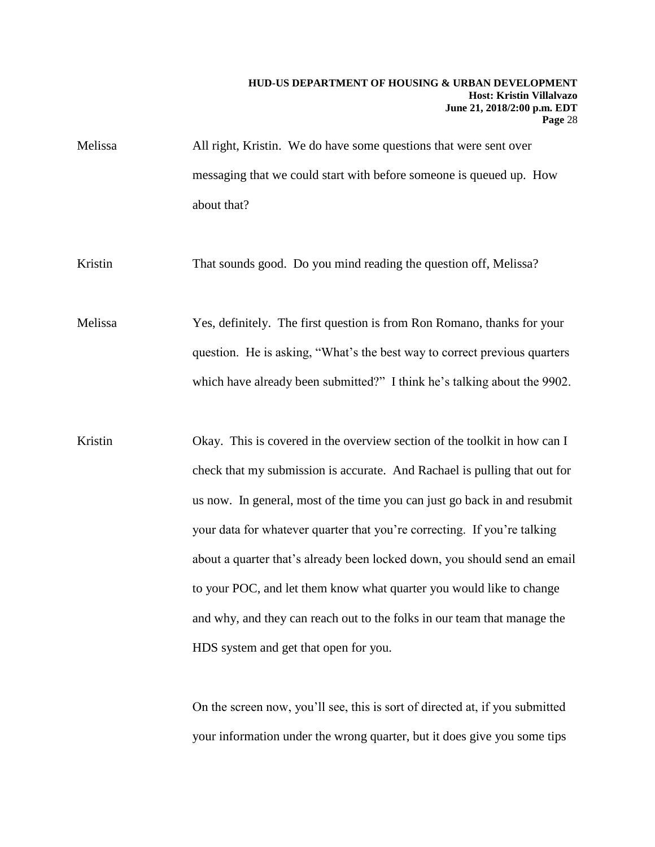Melissa All right, Kristin. We do have some questions that were sent over messaging that we could start with before someone is queued up. How about that?

Kristin That sounds good. Do you mind reading the question off, Melissa?

Melissa Yes, definitely. The first question is from Ron Romano, thanks for your question. He is asking, "What's the best way to correct previous quarters which have already been submitted?" I think he's talking about the 9902.

Kristin Okay. This is covered in the overview section of the toolkit in how can I check that my submission is accurate. And Rachael is pulling that out for us now. In general, most of the time you can just go back in and resubmit your data for whatever quarter that you're correcting. If you're talking about a quarter that's already been locked down, you should send an email to your POC, and let them know what quarter you would like to change and why, and they can reach out to the folks in our team that manage the HDS system and get that open for you.

> On the screen now, you'll see, this is sort of directed at, if you submitted your information under the wrong quarter, but it does give you some tips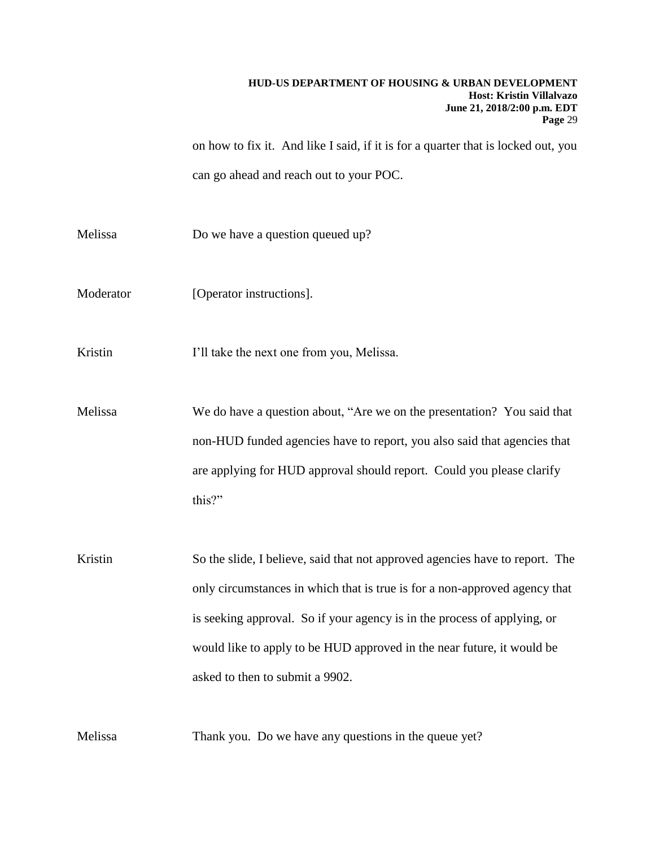on how to fix it. And like I said, if it is for a quarter that is locked out, you can go ahead and reach out to your POC.

Melissa Do we have a question queued up?

Moderator [Operator instructions].

Kristin I'll take the next one from you, Melissa.

Melissa We do have a question about, "Are we on the presentation? You said that non-HUD funded agencies have to report, you also said that agencies that are applying for HUD approval should report. Could you please clarify this?"

Kristin So the slide, I believe, said that not approved agencies have to report. The only circumstances in which that is true is for a non-approved agency that is seeking approval. So if your agency is in the process of applying, or would like to apply to be HUD approved in the near future, it would be asked to then to submit a 9902.

Melissa Thank you. Do we have any questions in the queue yet?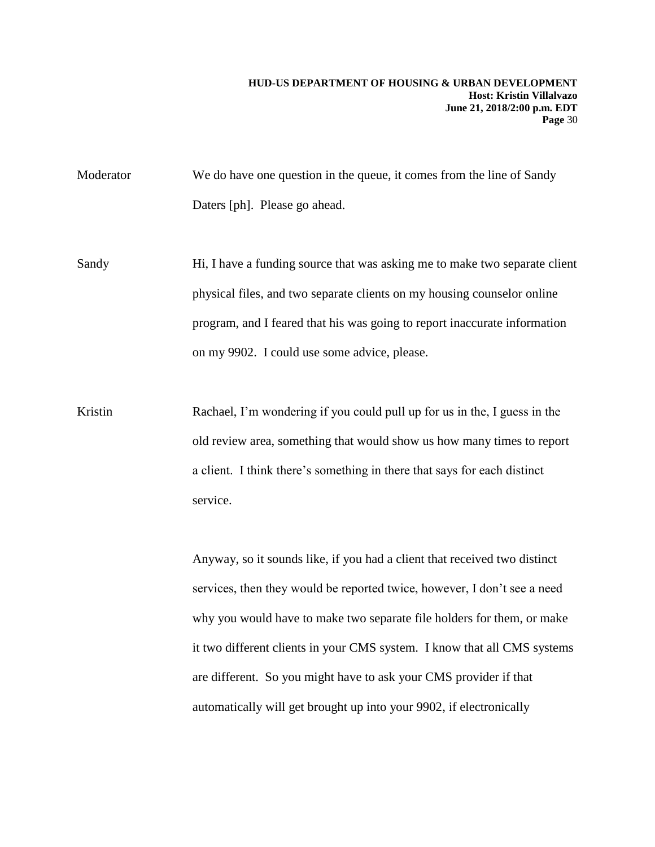Moderator We do have one question in the queue, it comes from the line of Sandy Daters [ph]. Please go ahead.

Sandy Hi, I have a funding source that was asking me to make two separate client physical files, and two separate clients on my housing counselor online program, and I feared that his was going to report inaccurate information on my 9902. I could use some advice, please.

Kristin Rachael, I'm wondering if you could pull up for us in the, I guess in the old review area, something that would show us how many times to report a client. I think there's something in there that says for each distinct service.

> Anyway, so it sounds like, if you had a client that received two distinct services, then they would be reported twice, however, I don't see a need why you would have to make two separate file holders for them, or make it two different clients in your CMS system. I know that all CMS systems are different. So you might have to ask your CMS provider if that automatically will get brought up into your 9902, if electronically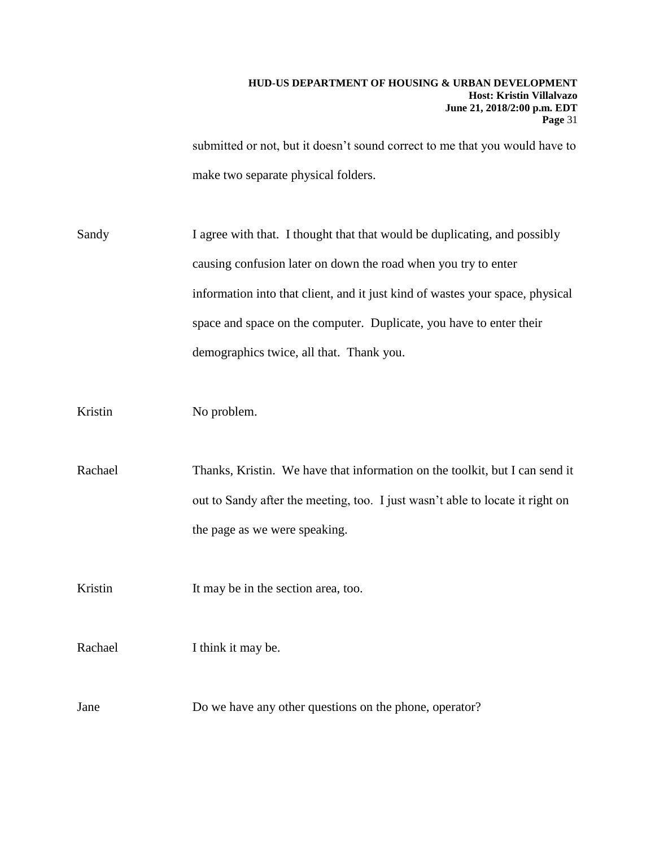submitted or not, but it doesn't sound correct to me that you would have to make two separate physical folders.

Sandy I agree with that. I thought that that would be duplicating, and possibly causing confusion later on down the road when you try to enter information into that client, and it just kind of wastes your space, physical space and space on the computer. Duplicate, you have to enter their demographics twice, all that. Thank you.

Kristin No problem.

Rachael Thanks, Kristin. We have that information on the toolkit, but I can send it out to Sandy after the meeting, too. I just wasn't able to locate it right on the page as we were speaking.

Kristin It may be in the section area, too.

Rachael I think it may be.

Jane Do we have any other questions on the phone, operator?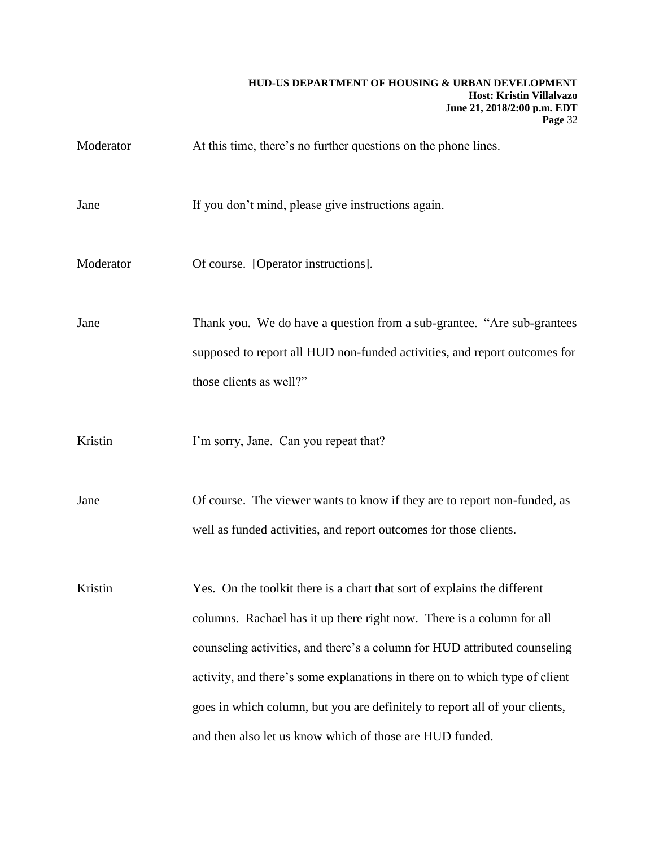Moderator At this time, there's no further questions on the phone lines.

Jane If you don't mind, please give instructions again.

Moderator **Of course.** [Operator instructions].

Jane Thank you. We do have a question from a sub-grantee. "Are sub-grantees supposed to report all HUD non-funded activities, and report outcomes for those clients as well?"

Kristin I'm sorry, Jane. Can you repeat that?

Jane Of course. The viewer wants to know if they are to report non-funded, as well as funded activities, and report outcomes for those clients.

Kristin Yes. On the toolkit there is a chart that sort of explains the different columns. Rachael has it up there right now. There is a column for all counseling activities, and there's a column for HUD attributed counseling activity, and there's some explanations in there on to which type of client goes in which column, but you are definitely to report all of your clients, and then also let us know which of those are HUD funded.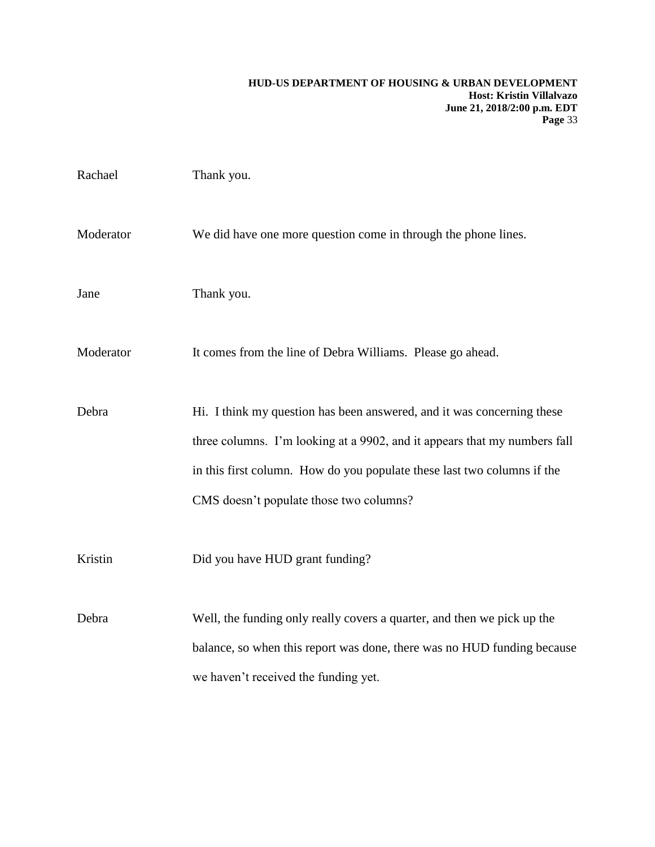| Rachael   | Thank you.                                                                |
|-----------|---------------------------------------------------------------------------|
| Moderator | We did have one more question come in through the phone lines.            |
| Jane      | Thank you.                                                                |
| Moderator | It comes from the line of Debra Williams. Please go ahead.                |
| Debra     | Hi. I think my question has been answered, and it was concerning these    |
|           | three columns. I'm looking at a 9902, and it appears that my numbers fall |
|           | in this first column. How do you populate these last two columns if the   |
|           | CMS doesn't populate those two columns?                                   |
| Kristin   | Did you have HUD grant funding?                                           |
| Debra     | Well, the funding only really covers a quarter, and then we pick up the   |
|           | balance, so when this report was done, there was no HUD funding because   |
|           | we haven't received the funding yet.                                      |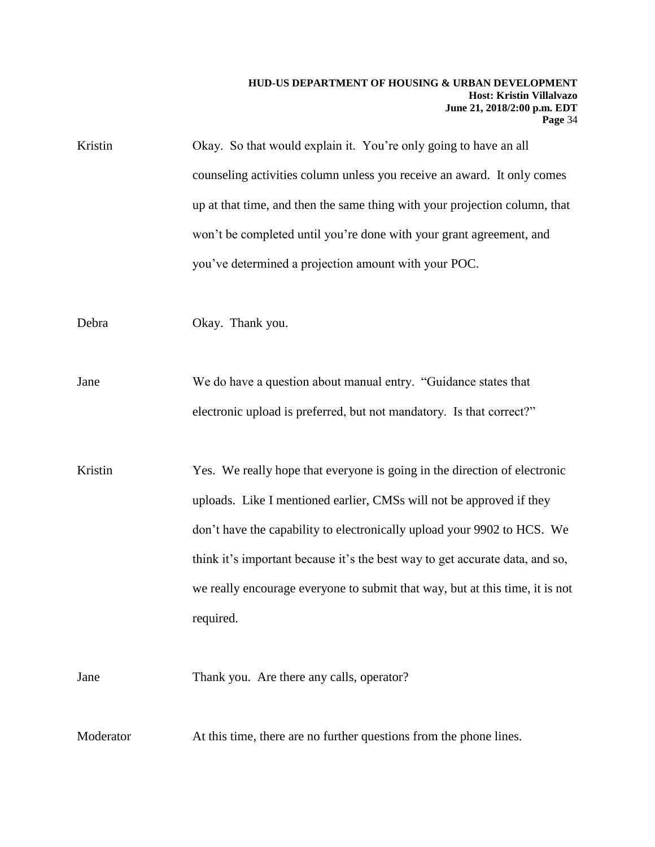| Kristin   | Okay. So that would explain it. You're only going to have an all             |
|-----------|------------------------------------------------------------------------------|
|           | counseling activities column unless you receive an award. It only comes      |
|           | up at that time, and then the same thing with your projection column, that   |
|           | won't be completed until you're done with your grant agreement, and          |
|           | you've determined a projection amount with your POC.                         |
| Debra     | Okay. Thank you.                                                             |
| Jane      | We do have a question about manual entry. "Guidance states that              |
|           | electronic upload is preferred, but not mandatory. Is that correct?"         |
| Kristin   | Yes. We really hope that everyone is going in the direction of electronic    |
|           | uploads. Like I mentioned earlier, CMSs will not be approved if they         |
|           | don't have the capability to electronically upload your 9902 to HCS. We      |
|           | think it's important because it's the best way to get accurate data, and so, |
|           | we really encourage everyone to submit that way, but at this time, it is not |
|           | required.                                                                    |
| Jane      | Thank you. Are there any calls, operator?                                    |
| Moderator | At this time, there are no further questions from the phone lines.           |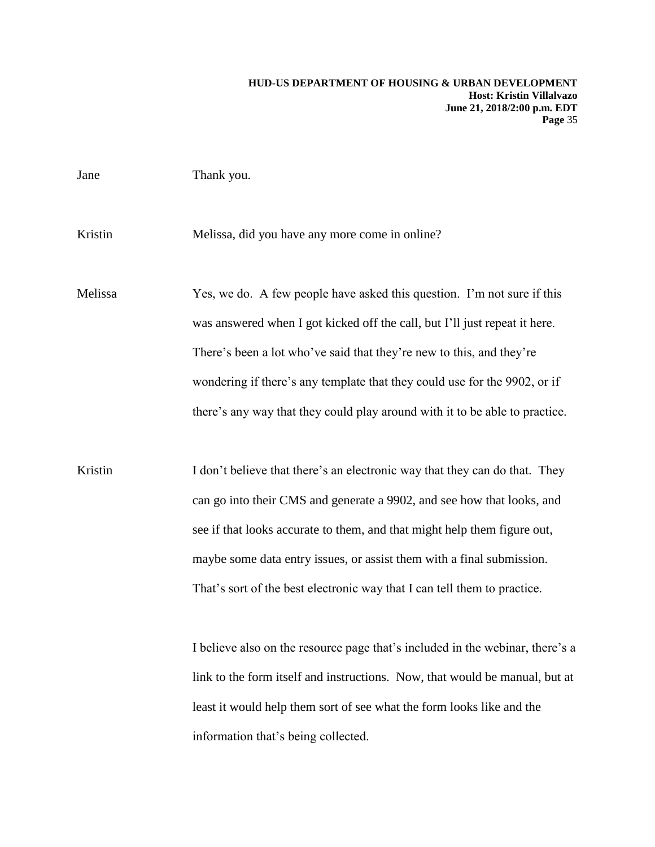| Jane    | Thank you.                                                                                                                                                                                                                                                                                                                                                                                |
|---------|-------------------------------------------------------------------------------------------------------------------------------------------------------------------------------------------------------------------------------------------------------------------------------------------------------------------------------------------------------------------------------------------|
| Kristin | Melissa, did you have any more come in online?                                                                                                                                                                                                                                                                                                                                            |
| Melissa | Yes, we do. A few people have asked this question. I'm not sure if this<br>was answered when I got kicked off the call, but I'll just repeat it here.<br>There's been a lot who've said that they're new to this, and they're<br>wondering if there's any template that they could use for the 9902, or if<br>there's any way that they could play around with it to be able to practice. |
| Kristin | I don't believe that there's an electronic way that they can do that. They<br>can go into their CMS and generate a 9902, and see how that looks, and<br>see if that looks accurate to them, and that might help them figure out,<br>maybe some data entry issues, or assist them with a final submission.<br>That's sort of the best electronic way that I can tell them to practice.     |
|         | I believe also on the resource page that's included in the webinar, there's a<br>link to the form itself and instructions. Now, that would be manual, but at<br>least it would help them sort of see what the form looks like and the                                                                                                                                                     |

information that's being collected.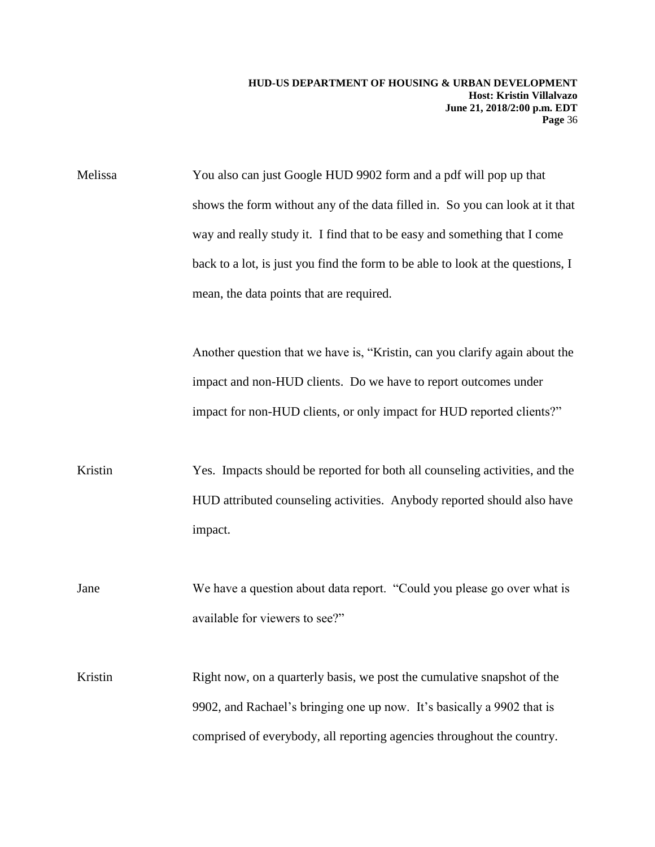Melissa You also can just Google HUD 9902 form and a pdf will pop up that shows the form without any of the data filled in. So you can look at it that way and really study it. I find that to be easy and something that I come back to a lot, is just you find the form to be able to look at the questions, I mean, the data points that are required.

> Another question that we have is, "Kristin, can you clarify again about the impact and non-HUD clients. Do we have to report outcomes under impact for non-HUD clients, or only impact for HUD reported clients?"

Kristin Yes. Impacts should be reported for both all counseling activities, and the HUD attributed counseling activities. Anybody reported should also have impact.

Jane We have a question about data report. "Could you please go over what is available for viewers to see?"

Kristin Right now, on a quarterly basis, we post the cumulative snapshot of the 9902, and Rachael's bringing one up now. It's basically a 9902 that is comprised of everybody, all reporting agencies throughout the country.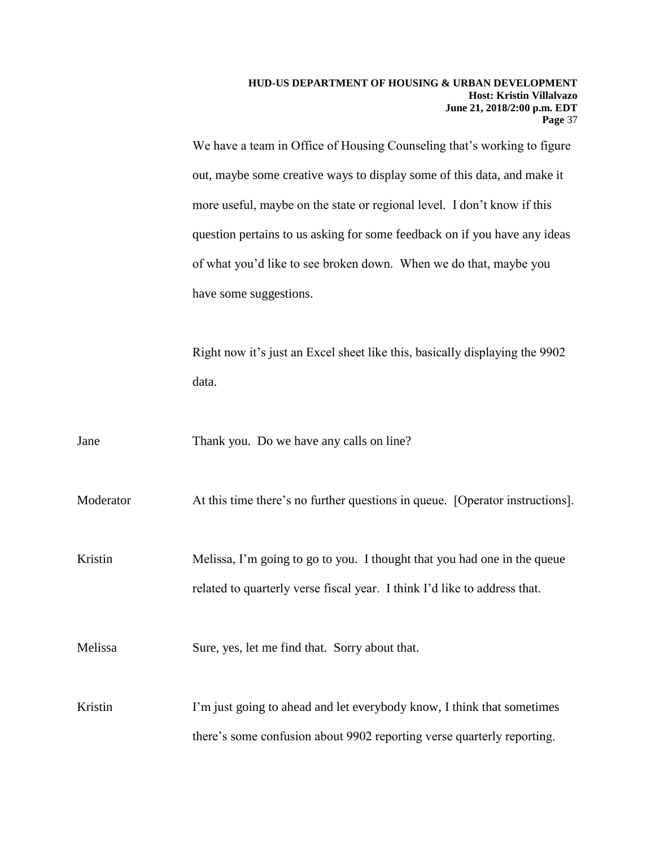We have a team in Office of Housing Counseling that's working to figure out, maybe some creative ways to display some of this data, and make it more useful, maybe on the state or regional level. I don't know if this question pertains to us asking for some feedback on if you have any ideas of what you'd like to see broken down. When we do that, maybe you have some suggestions.

Right now it's just an Excel sheet like this, basically displaying the 9902 data.

Jane Thank you. Do we have any calls on line?

Moderator At this time there's no further questions in queue. [Operator instructions].

Kristin Melissa, I'm going to go to you. I thought that you had one in the queue related to quarterly verse fiscal year. I think I'd like to address that.

Melissa Sure, yes, let me find that. Sorry about that.

Kristin I'm just going to ahead and let everybody know, I think that sometimes there's some confusion about 9902 reporting verse quarterly reporting.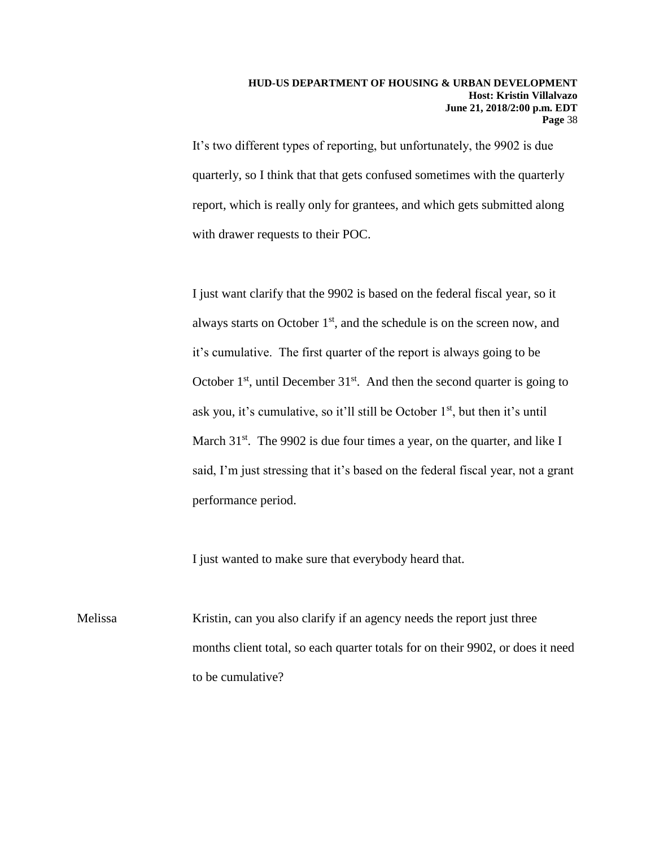It's two different types of reporting, but unfortunately, the 9902 is due quarterly, so I think that that gets confused sometimes with the quarterly report, which is really only for grantees, and which gets submitted along with drawer requests to their POC.

I just want clarify that the 9902 is based on the federal fiscal year, so it always starts on October  $1<sup>st</sup>$ , and the schedule is on the screen now, and it's cumulative. The first quarter of the report is always going to be October  $1<sup>st</sup>$ , until December  $31<sup>st</sup>$ . And then the second quarter is going to ask you, it's cumulative, so it'll still be October  $1<sup>st</sup>$ , but then it's until March 31<sup>st</sup>. The 9902 is due four times a year, on the quarter, and like I said, I'm just stressing that it's based on the federal fiscal year, not a grant performance period.

I just wanted to make sure that everybody heard that.

Melissa Kristin, can you also clarify if an agency needs the report just three months client total, so each quarter totals for on their 9902, or does it need to be cumulative?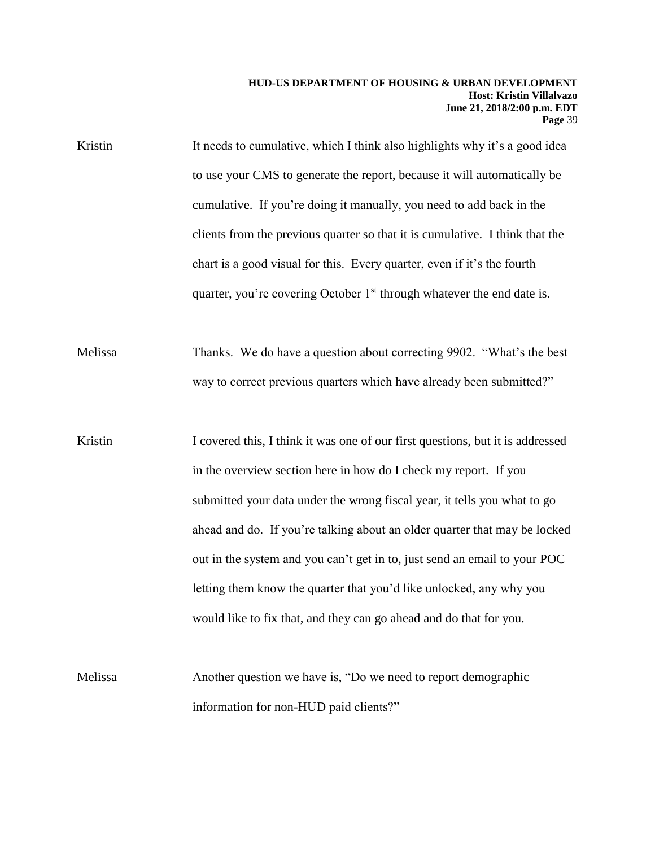Kristin It needs to cumulative, which I think also highlights why it's a good idea to use your CMS to generate the report, because it will automatically be cumulative. If you're doing it manually, you need to add back in the clients from the previous quarter so that it is cumulative. I think that the chart is a good visual for this. Every quarter, even if it's the fourth quarter, you're covering October  $1<sup>st</sup>$  through whatever the end date is.

Melissa Thanks. We do have a question about correcting 9902. "What's the best way to correct previous quarters which have already been submitted?"

Kristin I covered this, I think it was one of our first questions, but it is addressed in the overview section here in how do I check my report. If you submitted your data under the wrong fiscal year, it tells you what to go ahead and do. If you're talking about an older quarter that may be locked out in the system and you can't get in to, just send an email to your POC letting them know the quarter that you'd like unlocked, any why you would like to fix that, and they can go ahead and do that for you.

Melissa Another question we have is, "Do we need to report demographic information for non-HUD paid clients?"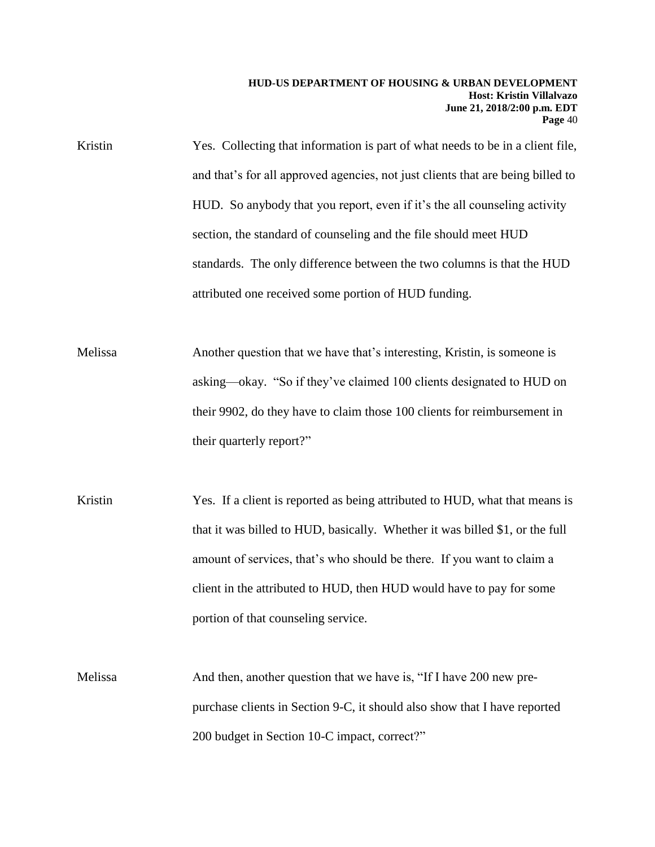- Kristin Yes. Collecting that information is part of what needs to be in a client file, and that's for all approved agencies, not just clients that are being billed to HUD. So anybody that you report, even if it's the all counseling activity section, the standard of counseling and the file should meet HUD standards. The only difference between the two columns is that the HUD attributed one received some portion of HUD funding.
- Melissa Another question that we have that's interesting, Kristin, is someone is asking—okay. "So if they've claimed 100 clients designated to HUD on their 9902, do they have to claim those 100 clients for reimbursement in their quarterly report?"
- Kristin Yes. If a client is reported as being attributed to HUD, what that means is that it was billed to HUD, basically. Whether it was billed \$1, or the full amount of services, that's who should be there. If you want to claim a client in the attributed to HUD, then HUD would have to pay for some portion of that counseling service.
- Melissa And then, another question that we have is, "If I have 200 new prepurchase clients in Section 9-C, it should also show that I have reported 200 budget in Section 10-C impact, correct?"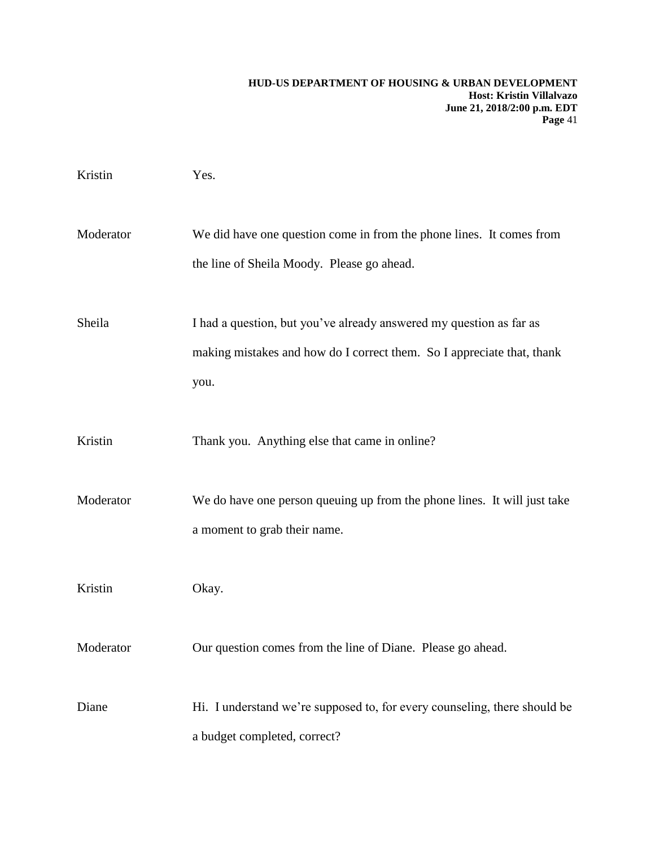| Kristin   | Yes.                                                                                                                                                  |
|-----------|-------------------------------------------------------------------------------------------------------------------------------------------------------|
| Moderator | We did have one question come in from the phone lines. It comes from<br>the line of Sheila Moody. Please go ahead.                                    |
| Sheila    | I had a question, but you've already answered my question as far as<br>making mistakes and how do I correct them. So I appreciate that, thank<br>you. |
| Kristin   | Thank you. Anything else that came in online?                                                                                                         |
| Moderator | We do have one person queuing up from the phone lines. It will just take<br>a moment to grab their name.                                              |
| Kristin   | Okay.                                                                                                                                                 |
| Moderator | Our question comes from the line of Diane. Please go ahead.                                                                                           |
| Diane     | Hi. I understand we're supposed to, for every counseling, there should be<br>a budget completed, correct?                                             |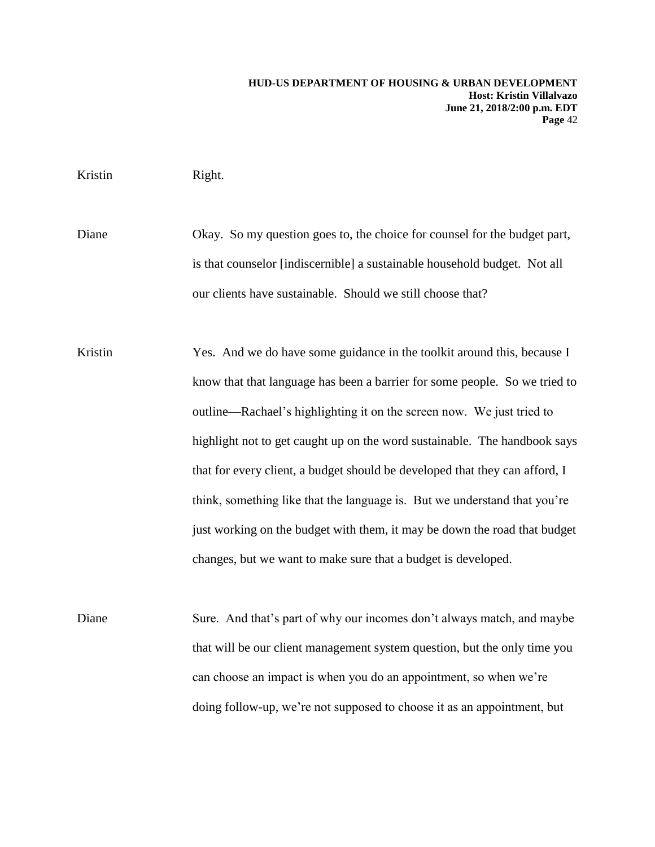#### Kristin Right.

Diane Okay. So my question goes to, the choice for counsel for the budget part, is that counselor [indiscernible] a sustainable household budget. Not all our clients have sustainable. Should we still choose that?

Kristin Yes. And we do have some guidance in the toolkit around this, because I know that that language has been a barrier for some people. So we tried to outline—Rachael's highlighting it on the screen now. We just tried to highlight not to get caught up on the word sustainable. The handbook says that for every client, a budget should be developed that they can afford, I think, something like that the language is. But we understand that you're just working on the budget with them, it may be down the road that budget changes, but we want to make sure that a budget is developed.

Diane Sure. And that's part of why our incomes don't always match, and maybe that will be our client management system question, but the only time you can choose an impact is when you do an appointment, so when we're doing follow-up, we're not supposed to choose it as an appointment, but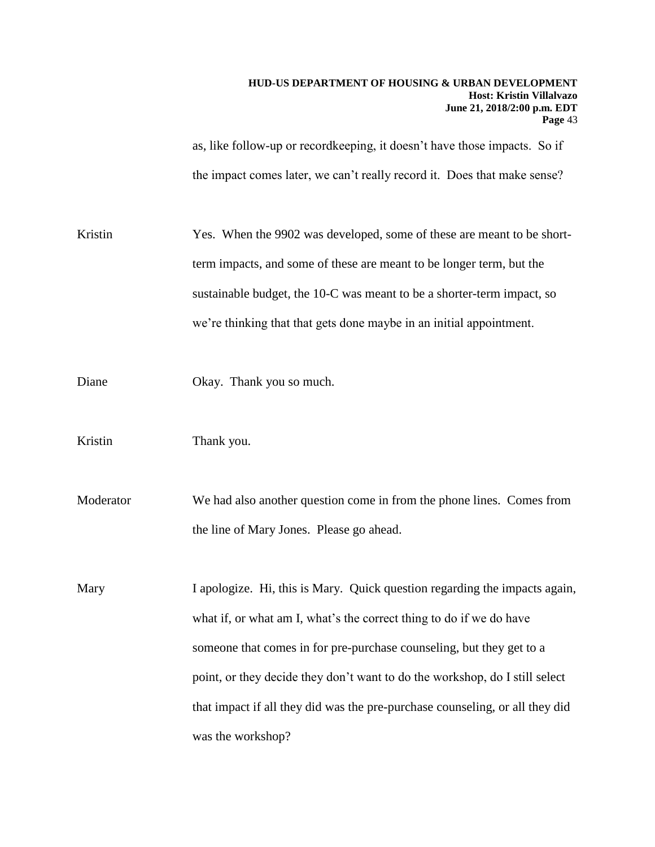as, like follow-up or recordkeeping, it doesn't have those impacts. So if the impact comes later, we can't really record it. Does that make sense?

Kristin Yes. When the 9902 was developed, some of these are meant to be shortterm impacts, and some of these are meant to be longer term, but the sustainable budget, the 10-C was meant to be a shorter-term impact, so we're thinking that that gets done maybe in an initial appointment.

Diane Okay. Thank you so much.

Kristin Thank you.

Moderator We had also another question come in from the phone lines. Comes from the line of Mary Jones. Please go ahead.

Mary I apologize. Hi, this is Mary. Quick question regarding the impacts again, what if, or what am I, what's the correct thing to do if we do have someone that comes in for pre-purchase counseling, but they get to a point, or they decide they don't want to do the workshop, do I still select that impact if all they did was the pre-purchase counseling, or all they did was the workshop?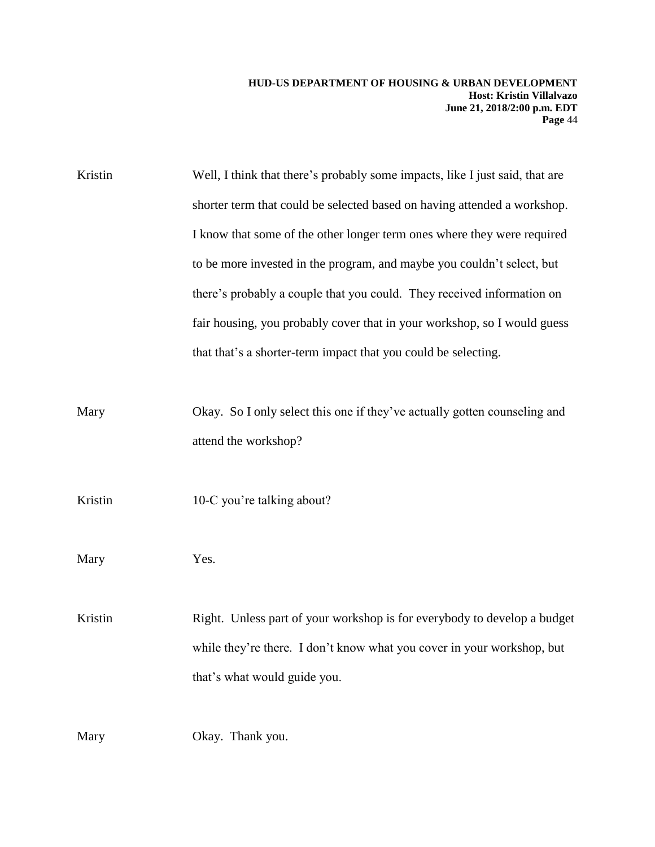Kristin Well, I think that there's probably some impacts, like I just said, that are shorter term that could be selected based on having attended a workshop. I know that some of the other longer term ones where they were required to be more invested in the program, and maybe you couldn't select, but there's probably a couple that you could. They received information on fair housing, you probably cover that in your workshop, so I would guess that that's a shorter-term impact that you could be selecting.

Mary Okay. So I only select this one if they've actually gotten counseling and attend the workshop?

Kristin 10-C you're talking about?

Mary Yes.

Kristin Right. Unless part of your workshop is for everybody to develop a budget while they're there. I don't know what you cover in your workshop, but that's what would guide you.

Mary Okay. Thank you.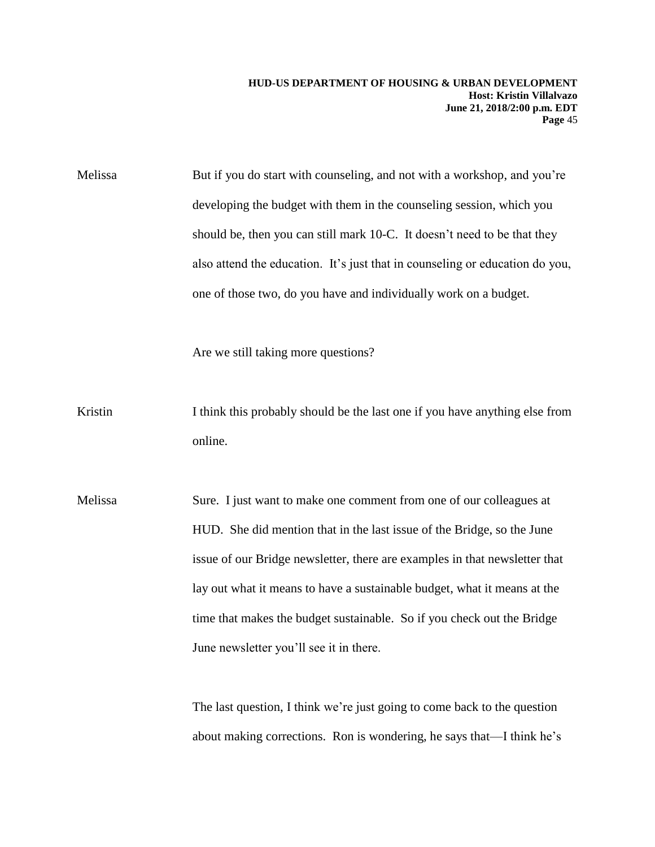Melissa But if you do start with counseling, and not with a workshop, and you're developing the budget with them in the counseling session, which you should be, then you can still mark 10-C. It doesn't need to be that they also attend the education. It's just that in counseling or education do you, one of those two, do you have and individually work on a budget.

Are we still taking more questions?

- Kristin I think this probably should be the last one if you have anything else from online.
- Melissa Sure. I just want to make one comment from one of our colleagues at HUD. She did mention that in the last issue of the Bridge, so the June issue of our Bridge newsletter, there are examples in that newsletter that lay out what it means to have a sustainable budget, what it means at the time that makes the budget sustainable. So if you check out the Bridge June newsletter you'll see it in there.

The last question, I think we're just going to come back to the question about making corrections. Ron is wondering, he says that—I think he's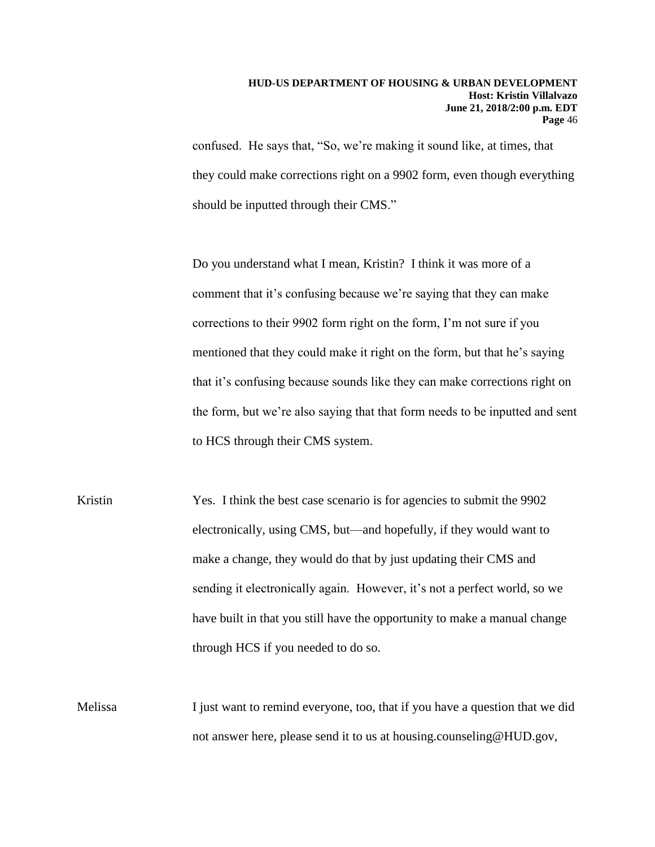confused. He says that, "So, we're making it sound like, at times, that they could make corrections right on a 9902 form, even though everything should be inputted through their CMS."

Do you understand what I mean, Kristin? I think it was more of a comment that it's confusing because we're saying that they can make corrections to their 9902 form right on the form, I'm not sure if you mentioned that they could make it right on the form, but that he's saying that it's confusing because sounds like they can make corrections right on the form, but we're also saying that that form needs to be inputted and sent to HCS through their CMS system.

- Kristin Yes. I think the best case scenario is for agencies to submit the 9902 electronically, using CMS, but—and hopefully, if they would want to make a change, they would do that by just updating their CMS and sending it electronically again. However, it's not a perfect world, so we have built in that you still have the opportunity to make a manual change through HCS if you needed to do so.
- Melissa I just want to remind everyone, too, that if you have a question that we did not answer here, please send it to us at housing.counseling@HUD.gov,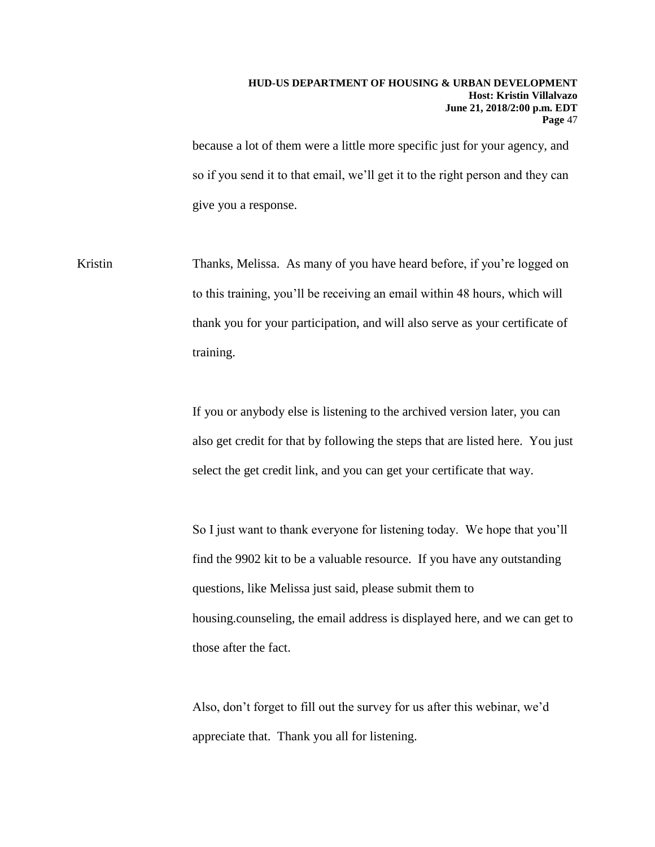because a lot of them were a little more specific just for your agency, and so if you send it to that email, we'll get it to the right person and they can give you a response.

Kristin Thanks, Melissa. As many of you have heard before, if you're logged on to this training, you'll be receiving an email within 48 hours, which will thank you for your participation, and will also serve as your certificate of training.

> If you or anybody else is listening to the archived version later, you can also get credit for that by following the steps that are listed here. You just select the get credit link, and you can get your certificate that way.

> So I just want to thank everyone for listening today. We hope that you'll find the 9902 kit to be a valuable resource. If you have any outstanding questions, like Melissa just said, please submit them to housing.counseling, the email address is displayed here, and we can get to those after the fact.

Also, don't forget to fill out the survey for us after this webinar, we'd appreciate that. Thank you all for listening.